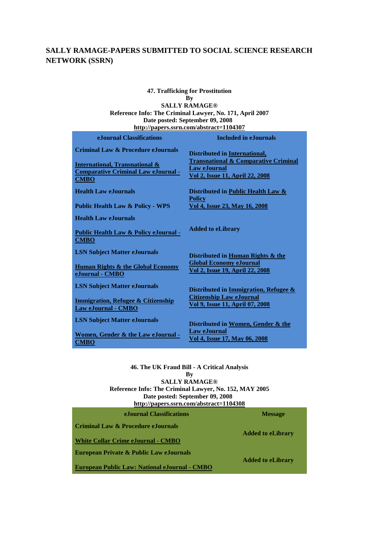### **SALLY RAMAGE-PAPERS SUBMITTED TO SOCIAL SCIENCE RESEARCH NETWORK (SSRN)**

#### **47. Trafficking for Prostitution By SALLY RAMAGE® Reference Info: The Criminal Lawyer, No. 171, April 2007 Date posted: September 09, 2008 <http://papers.ssrn.com/abstract=1104307>**

| eJournal Classifications                                                                               | <b>Included in e.Iournals</b>                                                    |
|--------------------------------------------------------------------------------------------------------|----------------------------------------------------------------------------------|
| <b>Criminal Law &amp; Procedure eJournals</b>                                                          | Distributed in International,<br><b>Transnational &amp; Comparative Criminal</b> |
| <b>International, Transnational &amp;</b><br><b>Comparative Criminal Law eJournal -</b><br><b>CMBO</b> | <b>Law eJournal</b><br>Vol 2, Issue 11, April 22, 2008                           |
| <b>Health Law eJournals</b>                                                                            | Distributed in Public Health Law &<br><b>Policy</b>                              |
| <b>Public Health Law &amp; Policy - WPS</b>                                                            | Vol 4, Issue 23, May 16, 2008                                                    |
| <b>Health Law eJournals</b>                                                                            |                                                                                  |
| <b>Public Health Law &amp; Policy eJournal -</b><br><b>CMBO</b>                                        | <b>Added to eLibrary</b>                                                         |
| <b>LSN Subject Matter eJournals</b>                                                                    | Distributed in Human Rights & the                                                |
| <b>Human Rights &amp; the Global Economy</b><br>eJournal - CMBO                                        | <b>Global Economy eJournal</b><br>Vol 2, Issue 19, April 22, 2008                |
| <b>LSN Subject Matter eJournals</b>                                                                    | Distributed in Immigration, Refugee &                                            |
| <b>Immigration, Refugee &amp; Citizenship</b><br>Law eJournal - CMBO                                   | <b>Citizenship Law eJournal</b><br><b>Vol 9, Issue 11, April 07, 2008</b>        |
| <b>LSN Subject Matter eJournals</b>                                                                    | Distributed in Women, Gender & the                                               |
| Women, Gender & the Law eJournal -<br>CMBO                                                             | <b>Law eJournal</b><br>Vol 4, Issue 17, May 06, 2008                             |

**46. The UK Fraud Bill - A Critical Analysis By SALLY RAMAGE® Reference Info: The Criminal Lawyer, No. 152, MAY 2005 Date posted: September 09, 2008 <http://papers.ssrn.com/abstract=1104308> eJournal Classifications Message**

**Criminal Law & Procedure eJournals [White Collar Crime eJournal](http://papers.ssrn.com/sol3/JELJOUR_Results.cfm?form_name=journalBrowse&journal_id=944159) - [CMBO](http://papers.ssrn.com/sol3/JELJOUR_Results.cfm?form_name=journalBrowse&journal_id=944159) Added to eLibrary European Private & Public Law eJournals [European Public Law: National eJournal](http://papers.ssrn.com/sol3/JELJOUR_Results.cfm?form_name=journalBrowse&journal_id=500621) - [CMBO](http://papers.ssrn.com/sol3/JELJOUR_Results.cfm?form_name=journalBrowse&journal_id=500621) Added to eLibrary**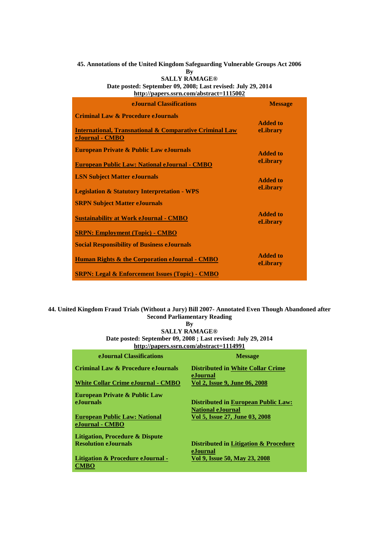## **45. Annotations of the United Kingdom Safeguarding Vulnerable Groups Act 2006**

**By**

**SALLY RAMAGE® Date posted: September 09, 2008; Last revised: July 29, 2014 <http://papers.ssrn.com/abstract=1115002>**

| e. Journal Classifications                                                                                                             | <b>Message</b>              |
|----------------------------------------------------------------------------------------------------------------------------------------|-----------------------------|
| <b>Criminal Law &amp; Procedure eJournals</b><br><b>International, Transnational &amp; Comparative Criminal Law</b><br>eJournal - CMBO | <b>Added to</b><br>eLibrary |
| <b>European Private &amp; Public Law eJournals</b><br><b>European Public Law: National eJournal - CMBO</b>                             | <b>Added to</b><br>eLibrary |
| <b>LSN Subject Matter eJournals</b><br><b>Legislation &amp; Statutory Interpretation - WPS</b>                                         | Added to<br>eLibrary        |
| <b>SRPN Subject Matter eJournals</b>                                                                                                   | <b>Added to</b>             |
| <b>Sustainability at Work eJournal - CMBO</b><br><b>SRPN: Employment (Topic) - CMBO</b>                                                | eLibrary                    |
| <b>Social Responsibility of Business eJournals</b><br><b>Human Rights &amp; the Corporation eJournal - CMBO</b>                        | <b>Added to</b><br>eLibrary |
| <b>SRPN: Legal &amp; Enforcement Issues (Topic) - CMBO</b>                                                                             |                             |

#### **44. United Kingdom Fraud Trials (Without a Jury) Bill 2007- Annotated Even Though Abandoned after Second Parliamentary Reading**

**By**

**SALLY RAMAGE® Date posted: September 09, 2008 ; Last revised: July 29, 2014 <http://papers.ssrn.com/abstract=1114991>**

| e. Journal Classifications                                                                     | <b>Message</b>                                                                                           |
|------------------------------------------------------------------------------------------------|----------------------------------------------------------------------------------------------------------|
| Criminal Law & Procedure eJournals                                                             | <b>Distributed in White Collar Crime</b><br>eJournal                                                     |
| <b>White Collar Crime eJournal - CMBO</b>                                                      | Vol 2, Issue 9, June 06, 2008                                                                            |
| <b>European Private &amp; Public Law</b><br>e.Iournals<br><b>European Public Law: National</b> | <b>Distributed in European Public Law:</b><br><b>National eJournal</b><br>Vol 5, Issue 27, June 03, 2008 |
| eJournal - CMBO                                                                                |                                                                                                          |
| Litigation, Procedure & Dispute                                                                |                                                                                                          |
| <b>Resolution e.Iournals</b>                                                                   | Distributed in Litigation & Procedure<br>eJournal                                                        |
| <b>Litigation &amp; Procedure eJournal -</b><br>CMBO                                           | Vol 9, Issue 50, May 23, 2008                                                                            |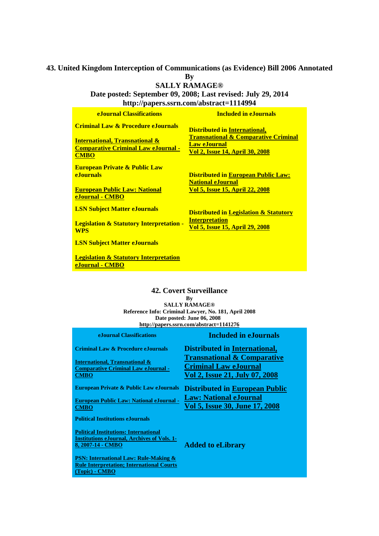## **43. United Kingdom Interception of Communications (as Evidence) Bill 2006 Annotated By**

**SALLY RAMAGE®**

**Date posted: September 09, 2008; Last revised: July 29, 2014 <http://papers.ssrn.com/abstract=1114994>**

| <b>e.Journal Classifications</b>                                                                       | <b>Included in eJournals</b>                                                                              |
|--------------------------------------------------------------------------------------------------------|-----------------------------------------------------------------------------------------------------------|
| <b>Criminal Law &amp; Procedure eJournals</b>                                                          | <b>Distributed in International,</b>                                                                      |
| <b>International, Transnational &amp;</b><br><b>Comparative Criminal Law eJournal -</b><br><b>CMBO</b> | <b>Transnational &amp; Comparative Criminal</b><br><b>Law eJournal</b><br>Vol 2, Issue 14, April 30, 2008 |
| <b>European Private &amp; Public Law</b><br><b>e</b> Journals                                          | <b>Distributed in European Public Law:</b><br><b>National eJournal</b>                                    |
| <b>European Public Law: National</b><br>eJournal - CMBO                                                | <u>Vol 5, Issue 15, April 22, 2008</u>                                                                    |
| <b>LSN Subject Matter eJournals</b>                                                                    | <b>Distributed in Legislation &amp; Statutory</b>                                                         |
| <b>Legislation &amp; Statutory Interpretation -</b><br><b>WPS</b>                                      | <b>Interpretation</b><br>Vol 5, Issue 15, April 29, 2008                                                  |
| <b>LSN Subject Matter eJournals</b>                                                                    |                                                                                                           |
| <b>Legislation &amp; Statutory Interpretation</b><br>eJournal - CMBO                                   |                                                                                                           |

#### **42. Covert Surveillance**

**By**

**SALLY RAMAGE® Reference Info: Criminal Lawyer, No. 181, April 2008 Date posted: June 06, 2008 <http://papers.ssrn.com/abstract=1141276>**

| eJournal Classifications                                                                                                       | <b>Included in eJournals</b>                                                                             |
|--------------------------------------------------------------------------------------------------------------------------------|----------------------------------------------------------------------------------------------------------|
| Criminal Law & Procedure eJournals                                                                                             | <b>Distributed in International,</b>                                                                     |
| <b>International, Transnational &amp;</b><br><b>Comparative Criminal Law eJournal -</b><br><b>CMBO</b>                         | <b>Transnational &amp; Comparative</b><br><b>Criminal Law eJournal</b><br>Vol 2, Issue 21, July 07, 2008 |
| European Private & Public Law eJournals                                                                                        | <b>Distributed in European Public</b>                                                                    |
| <b>European Public Law: National eJournal -</b><br><b>CMBO</b>                                                                 | <b>Law: National eJournal</b><br>Vol 5, Issue 30, June 17, 2008                                          |
| <b>Political Institutions eJournals</b>                                                                                        |                                                                                                          |
| <b>Political Institutions: International</b><br><b>Institutions eJournal, Archives of Vols. 1-</b><br><u>8, 2007-14 - CMBO</u> | <b>Added to eLibrary</b>                                                                                 |
| <b>PSN: International Law: Rule-Making &amp;</b><br><b>Rule Interpretation; International Courts</b><br>(Topic) - CMBO         |                                                                                                          |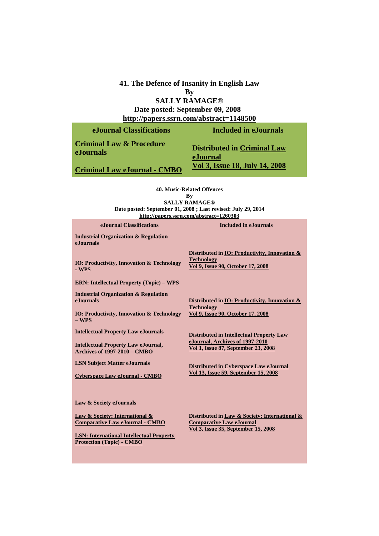#### **41. The Defence of Insanity in English Law By SALLY RAMAGE® Date posted: September 09, 2008 <http://papers.ssrn.com/abstract=1148500>**

| eJournal Classifications                         | Included in eJournals                          |
|--------------------------------------------------|------------------------------------------------|
| <b>Criminal Law &amp; Procedure</b><br>eJournals | <b>Distributed in Criminal Law</b><br>eJournal |
| <b>Criminal Law eJournal - CMBO</b>              | <u>Vol 3, Issue 18, July 14, 2008</u>          |

**40. Music-Related Offences By SALLY RAMAGE® Date posted: September 01, 2008 ; Last revised: July 29, 2014 <http://papers.ssrn.com/abstract=1260303>**

| eJournal Classifications                                                            | <b>Included in eJournals</b>                                                                            |
|-------------------------------------------------------------------------------------|---------------------------------------------------------------------------------------------------------|
| <b>Industrial Organization &amp; Regulation</b><br><b>e</b> Journals                |                                                                                                         |
| <b>IO: Productivity, Innovation &amp; Technology</b><br>- WPS                       | Distributed in IO: Productivity, Innovation &<br><b>Technology</b><br>Vol 9, Issue 90, October 17, 2008 |
| <b>ERN: Intellectual Property (Topic) - WPS</b>                                     |                                                                                                         |
| <b>Industrial Organization &amp; Regulation</b><br>eJournals                        | Distributed in IO: Productivity, Innovation &<br><b>Technology</b>                                      |
| <b>IO: Productivity, Innovation &amp; Technology</b><br>$-$ WPS                     | Vol 9, Issue 90, October 17, 2008                                                                       |
| <b>Intellectual Property Law eJournals</b>                                          | <b>Distributed in Intellectual Property Law</b>                                                         |
| <b>Intellectual Property Law eJournal,</b><br><b>Archives of 1997-2010 – CMBO</b>   | eJournal, Archives of 1997-2010<br>Vol 1, Issue 87, September 23, 2008                                  |
| <b>LSN Subject Matter eJournals</b>                                                 | Distributed in Cyberspace Law eJournal                                                                  |
| <b>Cyberspace Law eJournal - CMBO</b>                                               | Vol 13, Issue 59, September 15, 2008                                                                    |
| Law & Society eJournals                                                             |                                                                                                         |
| Law & Society: International &<br><b>Comparative Law eJournal - CMBO</b>            | Distributed in Law & Society: International &<br><b>Comparative Law eJournal</b>                        |
| <b>LSN: International Intellectual Property</b><br><b>Protection (Topic) - CMBO</b> | <u>Vol 3, Issue 35, September 15, 2008</u>                                                              |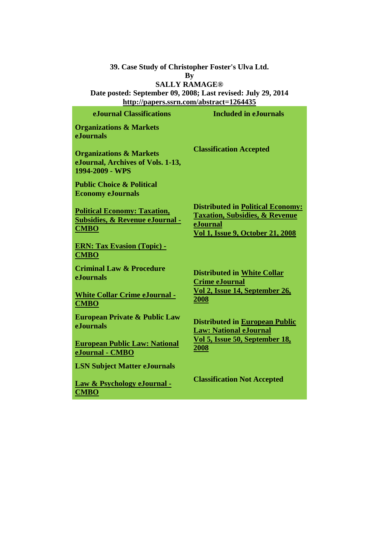**39. Case Study of Christopher Foster's Ulva Ltd.**

**By**

# **SALLY RAMAGE®**

**Date posted: September 09, 2008; Last revised: July 29, 2014 <http://papers.ssrn.com/abstract=1264435>**

| e. Journal Classifications                                                                       | <b>Included in e. Journals</b>                                                                                                                      |
|--------------------------------------------------------------------------------------------------|-----------------------------------------------------------------------------------------------------------------------------------------------------|
| <b>Organizations &amp; Markets</b><br><b>e.Iournals</b>                                          |                                                                                                                                                     |
| <b>Organizations &amp; Markets</b><br>eJournal, Archives of Vols. 1-13,<br>1994-2009 - WPS       | <b>Classification Accepted</b>                                                                                                                      |
| <b>Public Choice &amp; Political</b><br><b>Economy eJournals</b>                                 |                                                                                                                                                     |
| <b>Political Economy: Taxation,</b><br><b>Subsidies, &amp; Revenue eJournal -</b><br><b>CMBO</b> | <b>Distributed in Political Economy:</b><br><b>Taxation, Subsidies, &amp; Revenue</b><br><b>eJournal</b><br><b>Vol 1, Issue 9, October 21, 2008</b> |
| <b>ERN: Tax Evasion (Topic) -</b><br><b>CMBO</b>                                                 |                                                                                                                                                     |
| <b>Criminal Law &amp; Procedure</b><br><b>e.Iournals</b>                                         | <b>Distributed in White Collar</b><br><b>Crime eJournal</b>                                                                                         |
| <b>White Collar Crime eJournal -</b><br><b>CMBO</b>                                              | Vol 2, Issue 14, September 26,<br><u> 2008 </u>                                                                                                     |
| <b>European Private &amp; Public Law</b><br>eJournals                                            | <b>Distributed in European Public</b><br><b>Law: National eJournal</b>                                                                              |
| <b>European Public Law: National</b><br>eJournal - CMBO                                          | Vol 5, Issue 50, September 18,<br>2008                                                                                                              |
| <b>LSN Subject Matter eJournals</b>                                                              |                                                                                                                                                     |
| Law & Psychology eJournal -<br><b>CMBO</b>                                                       | <b>Classification Not Accepted</b>                                                                                                                  |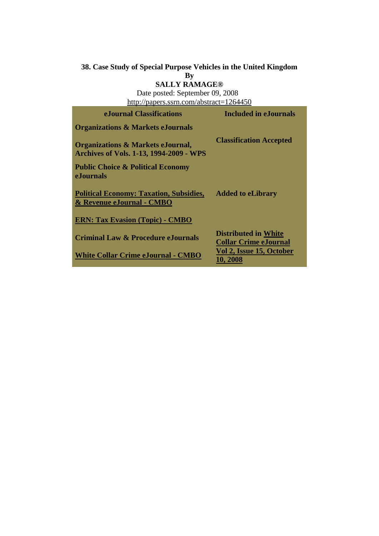#### **38. Case Study of Special Purpose Vehicles in the United Kingdom**

**By**

#### **SALLY RAMAGE®**

Date posted: September 09, 2008 <http://papers.ssrn.com/abstract=1264450>

| e. Journal Classifications                                                                     | Included in eJournals                                       |
|------------------------------------------------------------------------------------------------|-------------------------------------------------------------|
| <b>Organizations &amp; Markets eJournals</b>                                                   |                                                             |
| <b>Organizations &amp; Markets eJournal,</b><br><b>Archives of Vols. 1-13, 1994-2009 - WPS</b> | <b>Classification Accepted</b>                              |
| <b>Public Choice &amp; Political Economy</b><br>e.Journals                                     |                                                             |
| <b>Political Economy: Taxation, Subsidies,</b><br>& Revenue eJournal - CMBO                    | <b>Added to eLibrary</b>                                    |
| <b>ERN: Tax Evasion (Topic) - CMBO</b>                                                         |                                                             |
| <b>Criminal Law &amp; Procedure eJournals</b>                                                  | <b>Distributed in White</b><br><b>Collar Crime eJournal</b> |
| <b>White Collar Crime eJournal - CMBO</b>                                                      | Vol 2, Issue 15, October<br>10.2008                         |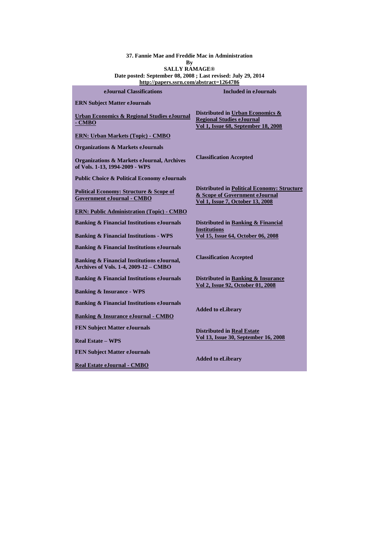**37. Fannie Mae and Freddie Mac in Administration**

**By**

**SALLY RAMAGE® Date posted: September 08, 2008 ; Last revised: July 29, 2014 <http://papers.ssrn.com/abstract=1264786>**

| eJournal Classifications                                                                   | <b>Included in e.Iournals</b>                                                                                            |
|--------------------------------------------------------------------------------------------|--------------------------------------------------------------------------------------------------------------------------|
| <b>ERN</b> Subject Matter eJournals                                                        |                                                                                                                          |
| <b>Urban Economics &amp; Regional Studies eJournal</b><br>- CMBO                           | Distributed in Urban Economics &<br><b>Regional Studies eJournal</b><br>Vol 1, Issue 68, September 18, 2008              |
| <b>ERN: Urban Markets (Topic) - CMBO</b>                                                   |                                                                                                                          |
| <b>Organizations &amp; Markets eJournals</b>                                               |                                                                                                                          |
| <b>Organizations &amp; Markets eJournal, Archives</b><br>of Vols. 1-13, 1994-2009 - WPS    | <b>Classification Accepted</b>                                                                                           |
| <b>Public Choice &amp; Political Economy eJournals</b>                                     |                                                                                                                          |
| <b>Political Economy: Structure &amp; Scope of</b><br><b>Government eJournal - CMBO</b>    | <b>Distributed in Political Economy: Structure</b><br>& Scope of Government eJournal<br>Vol 1, Issue 7, October 13, 2008 |
| <b>ERN: Public Administration (Topic) - CMBO</b>                                           |                                                                                                                          |
| <b>Banking &amp; Financial Institutions eJournals</b>                                      | Distributed in Banking & Financial<br><b>Institutions</b>                                                                |
| <b>Banking &amp; Financial Institutions - WPS</b>                                          | Vol 15, Issue 64, October 06, 2008                                                                                       |
| <b>Banking &amp; Financial Institutions eJournals</b>                                      |                                                                                                                          |
| Banking & Financial Institutions eJournal,<br><b>Archives of Vols. 1-4, 2009-12 - CMBO</b> | <b>Classification Accepted</b>                                                                                           |
| <b>Banking &amp; Financial Institutions eJournals</b>                                      | Distributed in Banking & Insurance                                                                                       |
| <b>Banking &amp; Insurance - WPS</b>                                                       | Vol 2, Issue 92, October 01, 2008                                                                                        |
| <b>Banking &amp; Financial Institutions eJournals</b>                                      |                                                                                                                          |
| <b>Banking &amp; Insurance eJournal - CMBO</b>                                             | <b>Added to eLibrary</b>                                                                                                 |
| <b>FEN Subject Matter eJournals</b>                                                        | <b>Distributed in Real Estate</b>                                                                                        |
| <b>Real Estate – WPS</b>                                                                   | Vol 13, Issue 30, September 16, 2008                                                                                     |
| <b>FEN Subject Matter eJournals</b>                                                        | <b>Added to eLibrary</b>                                                                                                 |
| Real Estate eJournal - CMBO                                                                |                                                                                                                          |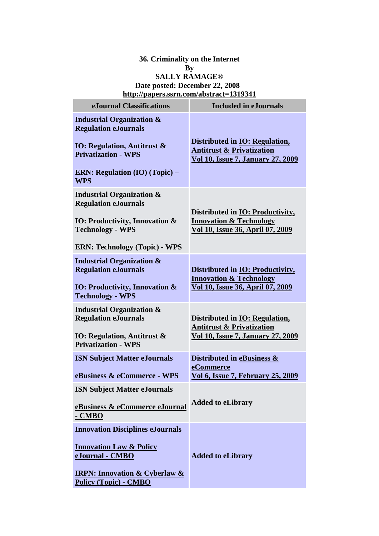### **36. Criminality on the Internet By SALLY RAMAGE® Date posted: December 22, 2008 <http://papers.ssrn.com/abstract=1319341>**

| eJournal Classifications                                                        | <b>Included in eJournals</b>                                                                                               |
|---------------------------------------------------------------------------------|----------------------------------------------------------------------------------------------------------------------------|
| <b>Industrial Organization &amp;</b><br><b>Regulation eJournals</b>             |                                                                                                                            |
| <b>IO: Regulation, Antitrust &amp;</b><br><b>Privatization - WPS</b>            | Distributed in <b>IO</b> : Regulation,<br><b>Antitrust &amp; Privatization</b><br><b>Vol 10, Issue 7, January 27, 2009</b> |
| <b>ERN: Regulation (IO) (Topic) -</b><br><b>WPS</b>                             |                                                                                                                            |
| <b>Industrial Organization &amp;</b><br><b>Regulation eJournals</b>             |                                                                                                                            |
| IO: Productivity, Innovation &<br><b>Technology - WPS</b>                       | Distributed in <b>IO</b> : Productivity,<br><b>Innovation &amp; Technology</b><br>Vol 10, Issue 36, April 07, 2009         |
| <b>ERN: Technology (Topic) - WPS</b>                                            |                                                                                                                            |
| <b>Industrial Organization &amp;</b><br><b>Regulation eJournals</b>             | Distributed in IO: Productivity,<br><b>Innovation &amp; Technology</b>                                                     |
| <b>IO: Productivity, Innovation &amp;</b><br><b>Technology - WPS</b>            | <u>Vol 10, Issue 36, April 07, 2009</u>                                                                                    |
| <b>Industrial Organization &amp;</b><br><b>Regulation eJournals</b>             | Distributed in IO: Regulation,<br><b>Antitrust &amp; Privatization</b>                                                     |
| <b>IO: Regulation, Antitrust &amp;</b><br><b>Privatization - WPS</b>            | <b>Vol 10, Issue 7, January 27, 2009</b>                                                                                   |
| <b>ISN Subject Matter eJournals</b><br>eBusiness & eCommerce - WPS              | Distributed in eBusiness &<br>eCommerce                                                                                    |
|                                                                                 | <b>Vol 6, Issue 7, February 25, 2009</b>                                                                                   |
| <b>ISN Subject Matter eJournals</b><br>eBusiness & eCommerce eJournal<br>- CMBO | <b>Added to eLibrary</b>                                                                                                   |
| <b>Innovation Disciplines eJournals</b>                                         |                                                                                                                            |
| <b>Innovation Law &amp; Policy</b><br>eJournal - CMBO                           | <b>Added to eLibrary</b>                                                                                                   |
| <b>IRPN: Innovation &amp; Cyberlaw &amp;</b><br><b>Policy (Topic) - CMBO</b>    |                                                                                                                            |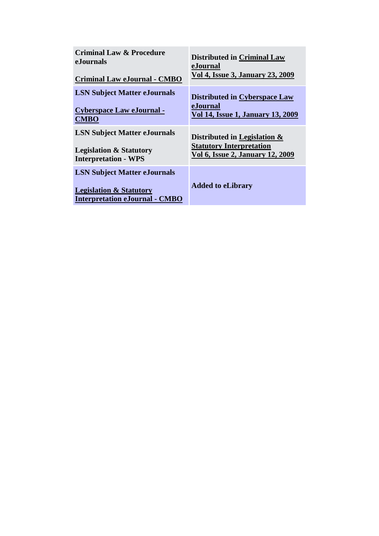| <b>Criminal Law &amp; Procedure</b>                                                                                | <b>Distributed in Criminal Law</b>       |
|--------------------------------------------------------------------------------------------------------------------|------------------------------------------|
| eJournals                                                                                                          | eJournal                                 |
| <b>Criminal Law eJournal - CMBO</b>                                                                                | Vol 4, Issue 3, January 23, 2009         |
| <b>LSN Subject Matter eJournals</b>                                                                                | <b>Distributed in Cyberspace Law</b>     |
| <b>Cyberspace Law eJournal -</b>                                                                                   | eJournal                                 |
| <b>CMBO</b>                                                                                                        | <b>Vol 14, Issue 1, January 13, 2009</b> |
| <b>LSN Subject Matter eJournals</b>                                                                                | Distributed in Legislation &             |
| <b>Legislation &amp; Statutory</b>                                                                                 | <b>Statutory Interpretation</b>          |
| <b>Interpretation - WPS</b>                                                                                        | Vol 6, Issue 2, January 12, 2009         |
| <b>LSN Subject Matter eJournals</b><br><b>Legislation &amp; Statutory</b><br><b>Interpretation eJournal - CMBO</b> | <b>Added to eLibrary</b>                 |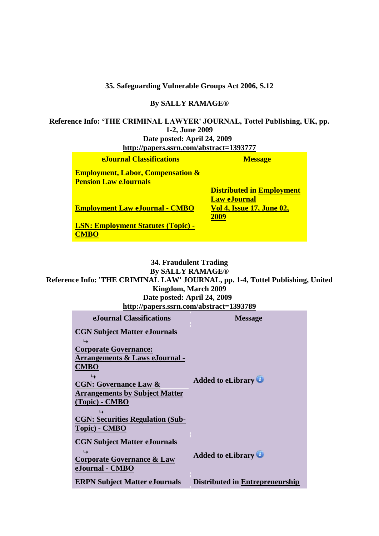**35. Safeguarding Vulnerable Groups Act 2006, S.12**

#### **By SALLY RAMAGE®**

**Reference Info: 'THE CRIMINAL LAWYER' JOURNAL, Tottel Publishing, UK, pp. 1-2, June 2009 Date posted: April 24, 2009 <http://papers.ssrn.com/abstract=1393777>**

| <b>eJournal Classifications</b>                                              | <b>Message</b>                                                                              |
|------------------------------------------------------------------------------|---------------------------------------------------------------------------------------------|
| <b>Employment, Labor, Compensation &amp;</b><br><b>Pension Law eJournals</b> |                                                                                             |
| <b>Employment Law eJournal - CMBO</b>                                        | <b>Distributed in Employment</b><br><b>Law eJournal</b><br><b>Vol 4, Issue 17, June 02,</b> |
| <b>LSN: Employment Statutes (Topic) -</b>                                    | 2009                                                                                        |

### **34. Fraudulent Trading By SALLY RAMAGE® Reference Info: 'THE CRIMINAL LAW' JOURNAL, pp. 1-4, Tottel Publishing, United Kingdom, March 2009 Date posted: April 24, 2009**

|  | http://papers.ssrn.com/abstract=1393789 |
|--|-----------------------------------------|

| eJournal Classifications                | <b>Message</b>                  |
|-----------------------------------------|---------------------------------|
| <b>CGN Subject Matter eJournals</b>     |                                 |
| ↳                                       |                                 |
| <b>Corporate Governance:</b>            |                                 |
| Arrangements & Laws eJournal -          |                                 |
| <b>CMBO</b>                             |                                 |
|                                         | <b>Added to eLibrary</b>        |
| <b>CGN: Governance Law &amp;</b>        |                                 |
| <b>Arrangements by Subject Matter</b>   |                                 |
| $(Topic)$ - CMBO                        |                                 |
|                                         |                                 |
| <b>CGN: Securities Regulation (Sub-</b> |                                 |
| Topic) - CMBO                           |                                 |
| <b>CGN Subject Matter eJournals</b>     |                                 |
| ↳                                       |                                 |
| <b>Corporate Governance &amp; Law</b>   | <b>Added to eLibrary</b>        |
| eJournal - CMBO                         |                                 |
| <b>ERPN Subject Matter eJournals</b>    | Distributed in Entrepreneurship |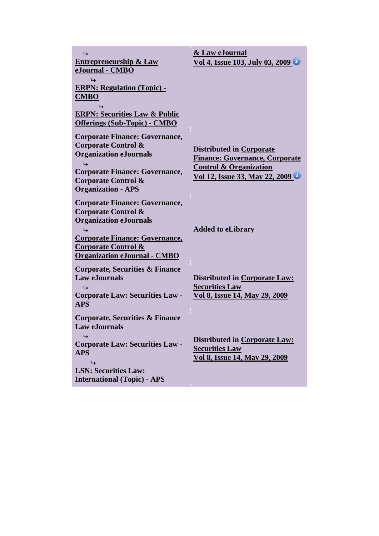| <b>Entrepreneurship &amp; Law</b><br>eJournal - CMBO<br>↳                                                                                                                                                                       | & Law eJournal<br>Vol 4, Issue 103, July 03, 2009                                                                                        |
|---------------------------------------------------------------------------------------------------------------------------------------------------------------------------------------------------------------------------------|------------------------------------------------------------------------------------------------------------------------------------------|
| <b>ERPN: Regulation (Topic) -</b><br><b>CMBO</b>                                                                                                                                                                                |                                                                                                                                          |
| <b>ERPN: Securities Law &amp; Public</b><br><b>Offerings (Sub-Topic) - CMBO</b>                                                                                                                                                 |                                                                                                                                          |
| <b>Corporate Finance: Governance,</b><br>Corporate Control &<br><b>Organization eJournals</b><br>↳<br><b>Corporate Finance: Governance,</b><br><b>Corporate Control &amp;</b><br><b>Organization - APS</b>                      | Distributed in Corporate<br><b>Finance: Governance, Corporate</b><br><b>Control &amp; Organization</b><br>Vol 12, Issue 33, May 22, 2009 |
| <b>Corporate Finance: Governance,</b><br><b>Corporate Control &amp;</b><br><b>Organization eJournals</b><br>↳<br><b>Corporate Finance: Governance,</b><br><b>Corporate Control &amp;</b><br><b>Organization eJournal - CMBO</b> | <b>Added to eLibrary</b>                                                                                                                 |
| Corporate, Securities & Finance<br><b>Law eJournals</b><br><b>Corporate Law: Securities Law -</b><br><b>APS</b>                                                                                                                 | <b>Distributed in Corporate Law:</b><br><b>Securities Law</b><br>Vol 8, Issue 14, May 29, 2009                                           |
| <b>Corporate, Securities &amp; Finance</b><br><b>Law eJournals</b><br>↳<br><b>Corporate Law: Securities Law -</b><br><b>APS</b><br>↳<br><b>LSN: Securities Law:</b><br><b>International (Topic) - APS</b>                       | <b>Distributed in Corporate Law:</b><br><b>Securities Law</b><br>Vol 8, Issue 14, May 29, 2009                                           |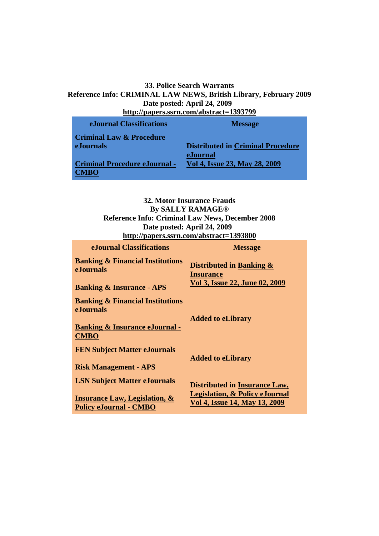#### **33. Police Search Warrants Reference Info: CRIMINAL LAW NEWS, British Library, February 2009 Date posted: April 24, 2009 <http://papers.ssrn.com/abstract=1393799>**

| пир.//рарсгэзэн н.сонгазы асс—1979/77 |                                          |  |
|---------------------------------------|------------------------------------------|--|
| eJournal Classifications              | <b>Message</b>                           |  |
| <b>Criminal Law &amp; Procedure</b>   |                                          |  |
| <b>eJournals</b>                      | <b>Distributed in Criminal Procedure</b> |  |
|                                       | eJournal                                 |  |
| <b>Criminal Procedure eJournal -</b>  | Vol 4, Issue 23, May 28, 2009            |  |
| VIBO.                                 |                                          |  |

**32. Motor Insurance Frauds By SALLY RAMAGE® Reference Info: Criminal Law News, December 2008 Date posted: April 24, 2009 <http://papers.ssrn.com/abstract=1393800>**

| eJournal Classifications                                                  | <b>Message</b>                                                             |
|---------------------------------------------------------------------------|----------------------------------------------------------------------------|
| <b>Banking &amp; Financial Institutions</b><br>eJournals                  | Distributed in Banking &<br><b>Insurance</b>                               |
| <b>Banking &amp; Insurance - APS</b>                                      | Vol 3, Issue 22, June 02, 2009                                             |
| <b>Banking &amp; Financial Institutions</b><br><b>eJournals</b>           |                                                                            |
|                                                                           | <b>Added to eLibrary</b>                                                   |
| <b>Banking &amp; Insurance eJournal -</b><br><b>CMBO</b>                  |                                                                            |
| <b>FEN Subject Matter eJournals</b>                                       | <b>Added to eLibrary</b>                                                   |
| <b>Risk Management - APS</b>                                              |                                                                            |
| <b>LSN Subject Matter eJournals</b>                                       | <b>Distributed in Insurance Law,</b>                                       |
| <b>Insurance Law, Legislation, &amp;</b><br><b>Policy eJournal - CMBO</b> | <b>Legislation, &amp; Policy eJournal</b><br>Vol 4, Issue 14, May 13, 2009 |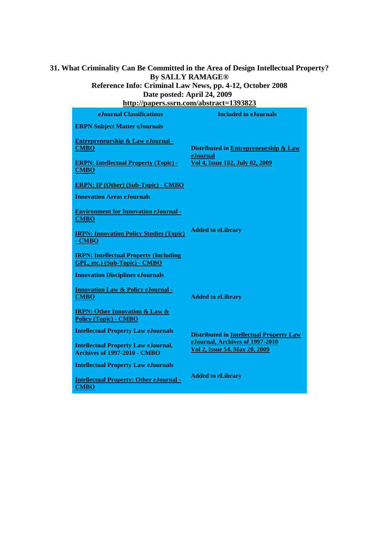## **31. What Criminality Can Be Committed in the Area of Design Intellectual Property? By SALLY RAMAGE®**

### **Reference Info: Criminal Law News, pp. 4-12, October 2008 Date posted: April 24, 2009**

| http://papers.ssrn.com/abstract=1393823                                           |                                                                  |  |
|-----------------------------------------------------------------------------------|------------------------------------------------------------------|--|
| eJournal Classifications                                                          | <b>Included in eJournals</b>                                     |  |
| <b>ERPN Subject Matter eJournals</b>                                              |                                                                  |  |
| <b>Entrepreneurship &amp; Law eJournal -</b><br><b>CMBO</b>                       | Distributed in Entrepreneurship & Law<br>eJournal                |  |
| <b>ERPN: Intellectual Property (Topic) -</b><br><b>CMBO</b>                       | Vol 4, Issue 102, July 02, 2009                                  |  |
| <b>ERPN: IP (Other) (Sub-Topic) - CMBO</b>                                        |                                                                  |  |
| <b>Innovation Areas eJournals</b>                                                 |                                                                  |  |
| <b>Environment for Innovation eJournal -</b><br><b>CMBO</b>                       |                                                                  |  |
| <b>IRPN: Innovation Policy Studies (Topic)</b><br>- CMBO                          | <b>Added to eLibrary</b>                                         |  |
| <b>IRPN: Intellectual Property (Including</b><br>GPL, etc.) (Sub-Topic) - CMBO    |                                                                  |  |
| <b>Innovation Disciplines eJournals</b>                                           |                                                                  |  |
| <b>Innovation Law &amp; Policy eJournal -</b><br><b>CMBO</b>                      | <b>Added to eLibrary</b>                                         |  |
| <b>IRPN: Other Innovation &amp; Law &amp;</b><br><b>Policy (Topic) - CMBO</b>     |                                                                  |  |
| <b>Intellectual Property Law eJournals</b>                                        | <b>Distributed in Intellectual Property Law</b>                  |  |
| <b>Intellectual Property Law eJournal,</b><br><b>Archives of 1997-2010 - CMBO</b> | eJournal, Archives of 1997-2010<br>Vol 2, Issue 54, May 20, 2009 |  |
| <b>Intellectual Property Law eJournals</b>                                        |                                                                  |  |
| <b>Intellectual Property: Other eJournal -</b><br><b>CMBO</b>                     | <b>Added to eLibrary</b>                                         |  |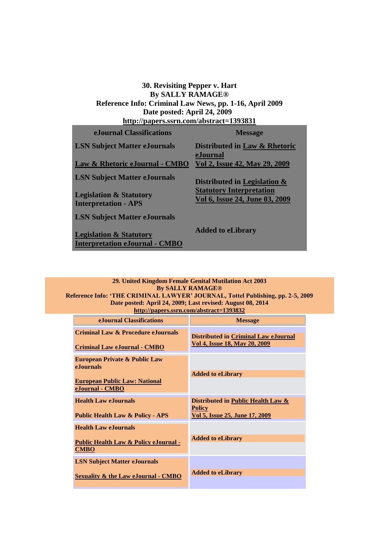#### **30. Revisiting Pepper v. Hart By SALLY RAMAGE® Reference Info: Criminal Law News, pp. 1-16, April 2009 Date posted: April 24, 2009 <http://papers.ssrn.com/abstract=1393831>**

| eJournal Classifications                                                    | <b>Message</b>                                                    |
|-----------------------------------------------------------------------------|-------------------------------------------------------------------|
| <b>LSN Subject Matter eJournals</b>                                         | Distributed in Law & Rhetoric<br>eJournal                         |
| Law & Rhetoric eJournal - CMBO                                              | Vol 2, Issue 42, May 29, 2009                                     |
| <b>LSN Subject Matter eJournals</b>                                         | Distributed in Legislation &                                      |
| <b>Legislation &amp; Statutory</b><br><b>Interpretation - APS</b>           | <b>Statutory Interpretation</b><br>Vol 6, Issue 24, June 03, 2009 |
| <b>LSN Subject Matter eJournals</b>                                         |                                                                   |
| <b>Legislation &amp; Statutory</b><br><b>Interpretation eJournal - CMBO</b> | <b>Added to eLibrary</b>                                          |

#### **29. United Kingdom Female Genital Mutilation Act 2003 By SALLY RAMAGE®**

**Reference Info: 'THE CRIMINAL LAWYER' JOURNAL, Tottel Publishing, pp. 2-5, 2009 Date posted: April 24, 2009; Last revised: August 08, 2014 <http://papers.ssrn.com/abstract=1393832>**

| eJournal Classifications                                                  | <b>Message</b>                                                               |
|---------------------------------------------------------------------------|------------------------------------------------------------------------------|
| Criminal Law & Procedure eJournals<br><b>Criminal Law eJournal - CMBO</b> | <b>Distributed in Criminal Law eJournal</b><br>Vol 4, Issue 18, May 20, 2009 |
| <b>European Private &amp; Public Law</b><br><b>e</b> Journals             |                                                                              |
| <b>European Public Law: National</b>                                      | <b>Added to eLibrary</b>                                                     |
| eJournal - CMBO                                                           |                                                                              |
| <b>Health Law eJournals</b>                                               | Distributed in Public Health Law &                                           |
| <b>Public Health Law &amp; Policy - APS</b>                               | <b>Policy</b><br>Vol 5, Issue 25, June 17, 2009                              |
| <b>Health Law eJournals</b>                                               |                                                                              |
| <b>Public Health Law &amp; Policy eJournal -</b><br><b>CMBO</b>           | <b>Added to eLibrary</b>                                                     |
| <b>LSN Subject Matter eJournals</b>                                       |                                                                              |
| <b>Sexuality &amp; the Law eJournal - CMBO</b>                            | <b>Added to eLibrary</b>                                                     |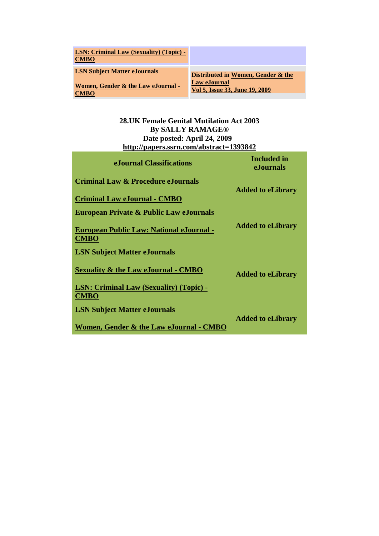| <b>LSN: Criminal Law (Sexuality) (Topic) -</b><br><b>CMBO</b> |                                                |
|---------------------------------------------------------------|------------------------------------------------|
| <b>LSN Subject Matter eJournals</b>                           | Distributed in Women, Gender & the             |
| Women, Gender & the Law eJournal -<br>CMRO                    | Law eJournal<br>Vol 5, Issue 33, June 19, 2009 |

### **28.UK Female Genital Mutilation Act 2003 By SALLY RAMAGE® Date posted: April 24, 2009 <http://papers.ssrn.com/abstract=1393842>**

| eJournal Classifications                                       | <b>Included</b> in<br>eJournals |
|----------------------------------------------------------------|---------------------------------|
| Criminal Law & Procedure eJournals                             | <b>Added to eLibrary</b>        |
| <b>Criminal Law eJournal - CMBO</b>                            |                                 |
| <b>European Private &amp; Public Law eJournals</b>             |                                 |
| <b>European Public Law: National eJournal -</b><br><b>CMBO</b> | <b>Added to eLibrary</b>        |
| <b>LSN Subject Matter eJournals</b>                            |                                 |
| <b>Sexuality &amp; the Law eJournal - CMBO</b>                 | <b>Added to eLibrary</b>        |
| <b>LSN: Criminal Law (Sexuality) (Topic) -</b><br><b>CMBO</b>  |                                 |
| <b>LSN Subject Matter eJournals</b>                            |                                 |
| Women, Gender & the Law eJournal - CMBO                        | <b>Added to eLibrary</b>        |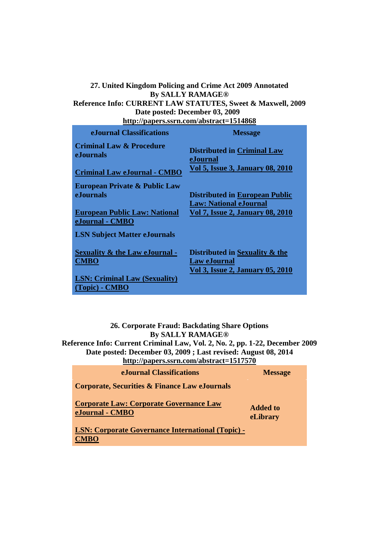# **27. United Kingdom Policing and Crime Act 2009 Annotated By SALLY RAMAGE®**

**Reference Info: CURRENT LAW STATUTES, Sweet & Maxwell, 2009 Date posted: December 03, 2009** 

**<http://papers.ssrn.com/abstract=1514868>**

| e.Journal Classifications                                | <b>Message</b>                                                                                   |
|----------------------------------------------------------|--------------------------------------------------------------------------------------------------|
| <b>Criminal Law &amp; Procedure</b><br>eJournals         | <b>Distributed in Criminal Law</b><br>eJournal                                                   |
| <b>Criminal Law eJournal - CMBO</b>                      | <b>Vol 5, Issue 3, January 08, 2010</b>                                                          |
| <b>European Private &amp; Public Law</b>                 |                                                                                                  |
| <b>e.Iournals</b>                                        | <b>Distributed in European Public</b><br><b>Law: National eJournal</b>                           |
| <b>European Public Law: National</b><br>eJournal - CMBO  | <b>Vol 7, Issue 2, January 08, 2010</b>                                                          |
| <b>LSN Subject Matter eJournals</b>                      |                                                                                                  |
| <b>Sexuality &amp; the Law eJournal -</b><br><b>CMBO</b> | Distributed in Sexuality & the<br><b>Law eJournal</b><br><b>Vol 3, Issue 2, January 05, 2010</b> |
| <b>LSN: Criminal Law (Sexuality)</b>                     |                                                                                                  |
| (Topic) - CMBO                                           |                                                                                                  |

**26. Corporate Fraud: Backdating Share Options By SALLY RAMAGE®**

**Reference Info: Current Criminal Law, Vol. 2, No. 2, pp. 1-22, December 2009 Date posted: December 03, 2009 ; Last revised: August 08, 2014 <http://papers.ssrn.com/abstract=1517570>**

| eJournal Classifications                                                | <b>Message</b>              |
|-------------------------------------------------------------------------|-----------------------------|
| <b>Corporate, Securities &amp; Finance Law eJournals</b>                |                             |
| <b>Corporate Law: Corporate Governance Law</b><br>eJournal - CMBO       | <b>Added to</b><br>eLibrary |
| <b>LSN: Corporate Governance International (Topic) -</b><br><b>CMBO</b> |                             |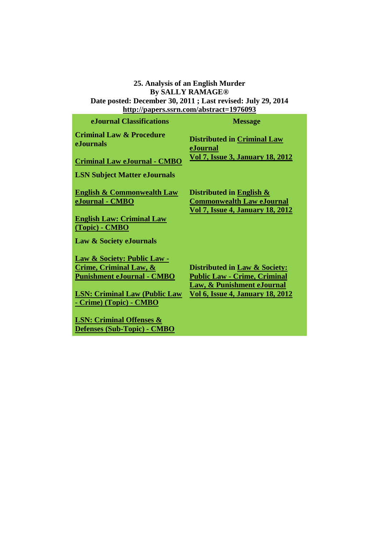**25. Analysis of an English Murder By SALLY RAMAGE® Date posted: December 30, 2011 ; Last revised: July 29, 2014 <http://papers.ssrn.com/abstract=1976093> eJournal Classifications Message Criminal Law & Procedure eJournals [Criminal Law eJournal](http://papers.ssrn.com/sol3/JELJOUR_Results.cfm?form_name=journalBrowse&journal_id=930446) - [CMBO](http://papers.ssrn.com/sol3/JELJOUR_Results.cfm?form_name=journalBrowse&journal_id=930446) Distributed in [Criminal Law](javascript:void(0);)  [eJournal](javascript:void(0);)  [Vol 7, Issue 3, January 18, 2012](javascript:void(0);)  LSN Subject Matter eJournals [English & Commonwealth Law](http://papers.ssrn.com/sol3/JELJOUR_Results.cfm?form_name=journalBrowse&journal_id=231160)  [eJournal](http://papers.ssrn.com/sol3/JELJOUR_Results.cfm?form_name=journalBrowse&journal_id=231160) - [CMBO](http://papers.ssrn.com/sol3/JELJOUR_Results.cfm?form_name=journalBrowse&journal_id=231160) [English Law: Criminal Law](http://papers.ssrn.com/sol3/JELJOUR_Results.cfm?form_name=journalBrowse&journal_id=1625625)  [\(Topic\)](http://papers.ssrn.com/sol3/JELJOUR_Results.cfm?form_name=journalBrowse&journal_id=1625625) - [CMBO](http://papers.ssrn.com/sol3/JELJOUR_Results.cfm?form_name=journalBrowse&journal_id=1625625) Distributed in [English &](javascript:void(0);)  [Commonwealth Law eJournal](javascript:void(0);)  [Vol 7, Issue 4, January 18, 2012](javascript:void(0);)  Law & Society eJournals [Law & Society: Public Law -](http://papers.ssrn.com/sol3/JELJOUR_Results.cfm?form_name=journalBrowse&journal_id=991891) [Crime, Criminal Law, &](http://papers.ssrn.com/sol3/JELJOUR_Results.cfm?form_name=journalBrowse&journal_id=991891)  [Punishment eJournal](http://papers.ssrn.com/sol3/JELJOUR_Results.cfm?form_name=journalBrowse&journal_id=991891) - [CMBO](http://papers.ssrn.com/sol3/JELJOUR_Results.cfm?form_name=journalBrowse&journal_id=991891) Distributed in [Law & Society:](javascript:void(0);)** 

**[LSN: Criminal Law \(Public Law](http://papers.ssrn.com/sol3/JELJOUR_Results.cfm?form_name=journalBrowse&journal_id=991894)  - [Crime\) \(Topic\)](http://papers.ssrn.com/sol3/JELJOUR_Results.cfm?form_name=journalBrowse&journal_id=991894) - [CMBO](http://papers.ssrn.com/sol3/JELJOUR_Results.cfm?form_name=journalBrowse&journal_id=991894)**

**[LSN: Criminal Offenses &](http://papers.ssrn.com/sol3/JELJOUR_Results.cfm?form_name=journalBrowse&journal_id=991896)  [Defenses \(Sub-Topic\)](http://papers.ssrn.com/sol3/JELJOUR_Results.cfm?form_name=journalBrowse&journal_id=991896) - [CMBO](http://papers.ssrn.com/sol3/JELJOUR_Results.cfm?form_name=journalBrowse&journal_id=991896)**

**Public Law - [Crime, Criminal](javascript:void(0);)  [Law, & Punishment eJournal](javascript:void(0);)  [Vol 6, Issue 4, January 18, 2012](javascript:void(0);)**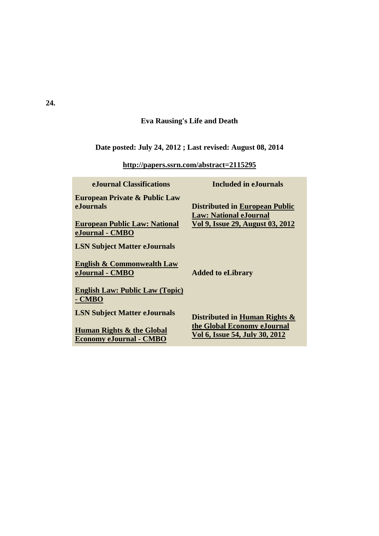## **Eva Rausing's Life and Death**

# **Date posted: July 24, 2012 ; Last revised: August 08, 2014**

**<http://papers.ssrn.com/abstract=2115295>**

| eJournal Classifications                                                                                                 | <b>Included in eJournals</b>                                                                                      |
|--------------------------------------------------------------------------------------------------------------------------|-------------------------------------------------------------------------------------------------------------------|
| <b>European Private &amp; Public Law</b><br><b>e</b> Journals<br><b>European Public Law: National</b><br>eJournal - CMBO | <b>Distributed in European Public</b><br><b>Law: National eJournal</b><br><u>Vol 9, Issue 29, August 03, 2012</u> |
| <b>LSN Subject Matter eJournals</b>                                                                                      |                                                                                                                   |
| <b>English &amp; Commonwealth Law</b><br>eJournal - CMBO                                                                 | <b>Added to eLibrary</b>                                                                                          |
| <b>English Law: Public Law (Topic)</b><br>- CMBO                                                                         |                                                                                                                   |
| <b>LSN Subject Matter eJournals</b>                                                                                      | Distributed in Human Rights &                                                                                     |
| Human Rights & the Global<br><b>Economy eJournal - CMBO</b>                                                              | the Global Economy eJournal<br>Vol 6, Issue 54, July 30, 2012                                                     |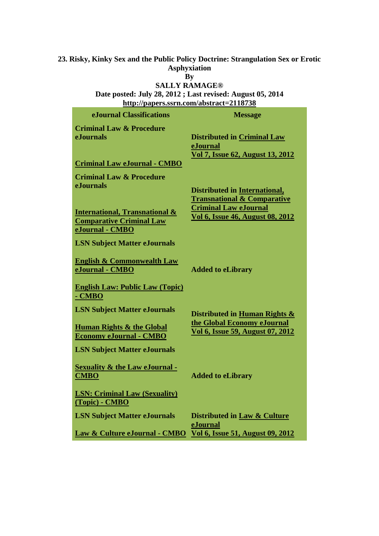# **23. Risky, Kinky Sex and the Public Policy Doctrine: Strangulation Sex or Erotic Asphyxiation**

### **By SALLY RAMAGE®**

**Date posted: July 28, 2012 ; Last revised: August 05, 2014 <http://papers.ssrn.com/abstract=2118738>**

| eJournal Classifications                                                                                      | <b>Message</b>                                                                                                                                            |
|---------------------------------------------------------------------------------------------------------------|-----------------------------------------------------------------------------------------------------------------------------------------------------------|
| <b>Criminal Law &amp; Procedure</b><br><b>e.Iournals</b><br><b>Criminal Law eJournal - CMBO</b>               | <b>Distributed in Criminal Law</b><br>eJournal<br>Vol 7, Issue 62, August 13, 2012                                                                        |
| <b>Criminal Law &amp; Procedure</b><br><b>e.Iournals</b><br><b>International, Transnational &amp;</b>         | <b>Distributed in International,</b><br><b>Transnational &amp; Comparative</b><br><b>Criminal Law eJournal</b><br><b>Vol 6, Issue 46, August 08, 2012</b> |
| <b>Comparative Criminal Law</b><br>eJournal - CMBO<br><b>LSN Subject Matter eJournals</b>                     |                                                                                                                                                           |
| <b>English &amp; Commonwealth Law</b><br>eJournal - CMBO<br><b>English Law: Public Law (Topic)</b>            | <b>Added to eLibrary</b>                                                                                                                                  |
| - CMBO<br><b>LSN Subject Matter eJournals</b>                                                                 | Distributed in Human Rights &<br>the Global Economy eJournal                                                                                              |
| <b>Human Rights &amp; the Global</b><br><b>Economy eJournal - CMBO</b><br><b>LSN Subject Matter eJournals</b> | Vol 6, Issue 59, August 07, 2012                                                                                                                          |
| <b>Sexuality &amp; the Law eJournal -</b><br><b>CMBO</b><br><b>LSN: Criminal Law (Sexuality)</b>              | <b>Added to eLibrary</b>                                                                                                                                  |
| (Topic) - CMBO<br><b>LSN Subject Matter eJournals</b>                                                         | Distributed in Law & Culture<br>eJournal                                                                                                                  |
| Law & Culture eJournal - CMBO                                                                                 | <b>Vol 6, Issue 51, August 09, 2012</b>                                                                                                                   |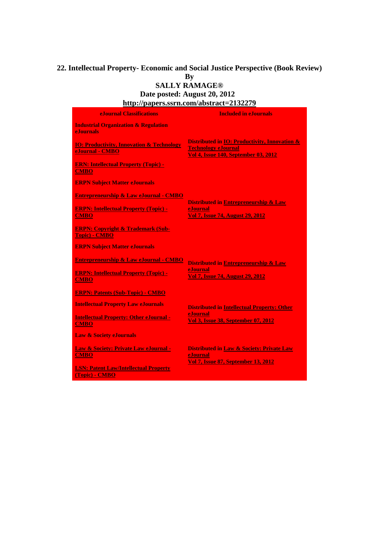### **22. Intellectual Property- Economic and Social Justice Perspective (Book Review) By SALLY RAMAGE®**

**Date posted: August 20, 2012 <http://papers.ssrn.com/abstract=2132279>**

| <b>eJournal Classifications</b>                                         | <b>Included in eJournals</b>                                                                                                       |
|-------------------------------------------------------------------------|------------------------------------------------------------------------------------------------------------------------------------|
| <b>Industrial Organization &amp; Regulation</b><br><b>e</b> Iournals    |                                                                                                                                    |
| <b>IO: Productivity, Innovation &amp; Technology</b><br>eJournal - CMBO | Distributed in <b>IO</b> : Productivity, Innovation &<br><b>Technology eJournal</b><br><b>Vol 4, Issue 140, September 03, 2012</b> |
| <b>ERN: Intellectual Property (Topic) -</b><br><b>CMBO</b>              |                                                                                                                                    |
| <b>ERPN Subject Matter eJournals</b>                                    |                                                                                                                                    |
| <b>Entrepreneurship &amp; Law eJournal - CMBO</b>                       |                                                                                                                                    |
| <b>ERPN: Intellectual Property (Topic) -</b><br><b>CMBO</b>             | <b>Distributed in Entrepreneurship &amp; Law</b><br>eJournal<br><b>Vol 7, Issue 74, August 29, 2012</b>                            |
| <b>ERPN: Copyright &amp; Trademark (Sub-</b><br><b>Topic) - CMBO</b>    |                                                                                                                                    |
| <b>ERPN Subject Matter eJournals</b>                                    |                                                                                                                                    |
| <b>Entrepreneurship &amp; Law eJournal - CMBO</b>                       | <b>Distributed in Entrepreneurship &amp; Law</b>                                                                                   |
| <b>ERPN: Intellectual Property (Topic) -</b><br><b>CMBO</b>             | eJournal<br><b>Vol 7, Issue 74, August 29, 2012</b>                                                                                |
| <b>ERPN: Patents (Sub-Topic) - CMBO</b>                                 |                                                                                                                                    |
| <b>Intellectual Property Law eJournals</b>                              | <b>Distributed in Intellectual Property: Other</b>                                                                                 |
| <b>Intellectual Property: Other eJournal -</b><br><b>CMBO</b>           | eJournal<br><b>Vol 3, Issue 38, September 07, 2012</b>                                                                             |
| <b>Law &amp; Society eJournals</b>                                      |                                                                                                                                    |
| Law & Society: Private Law eJournal -<br><b>CMBO</b>                    | <b>Distributed in Law &amp; Society: Private Law</b><br>eJournal<br><b>Vol 7, Issue 87, September 13, 2012</b>                     |
| <b>LSN: Patent Law/Intellectual Property</b><br>(Topic) - CMBO          |                                                                                                                                    |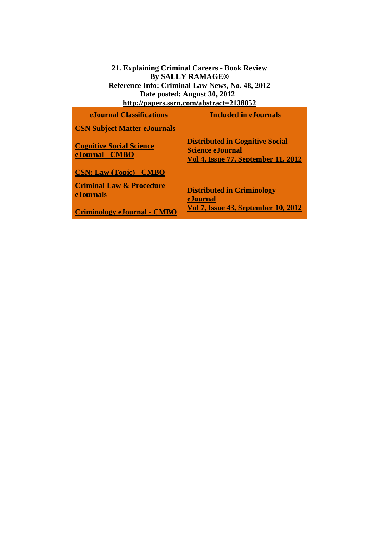**21. Explaining Criminal Careers - Book Review By SALLY RAMAGE® Reference Info: Criminal Law News, No. 48, 2012 Date posted: August 30, 2012 <http://papers.ssrn.com/abstract=2138052>**

| <b>eJournal Classifications</b>                         | <b>Included in eJournals</b>                                                                                    |
|---------------------------------------------------------|-----------------------------------------------------------------------------------------------------------------|
| <b>CSN Subject Matter eJournals</b>                     |                                                                                                                 |
| <b>Cognitive Social Science</b><br>eJournal - CMBO      | <b>Distributed in Cognitive Social</b><br><b>Science eJournal</b><br><b>Vol 4, Issue 77, September 11, 2012</b> |
| <b>CSN: Law (Topic) - CMBO</b>                          |                                                                                                                 |
| <b>Criminal Law &amp; Procedure</b><br><b>eJournals</b> | <b>Distributed in Criminology</b><br>eJournal                                                                   |
| <b>Criminology eJournal - CMBO</b>                      | Vol 7, Issue 43, September 10, 2012                                                                             |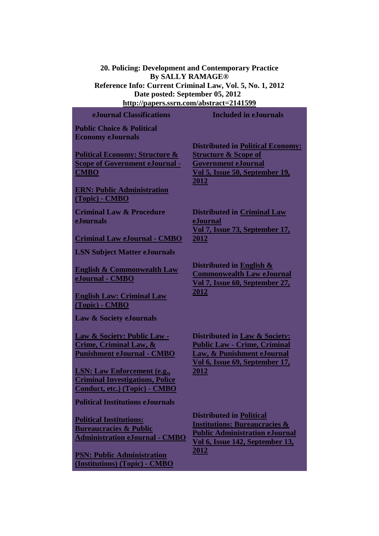**20. Policing: Development and Contemporary Practice By SALLY RAMAGE® Reference Info: Current Criminal Law, Vol. 5, No. 1, 2012 Date posted: September 05, 2012 <http://papers.ssrn.com/abstract=2141599>**

**eJournal Classifications Included in eJournals Public Choice & Political Economy eJournals [Political Economy: Structure &](http://papers.ssrn.com/sol3/JELJOUR_Results.cfm?form_name=journalBrowse&journal_id=1239802)  [Scope of Government eJournal](http://papers.ssrn.com/sol3/JELJOUR_Results.cfm?form_name=journalBrowse&journal_id=1239802) [-](http://papers.ssrn.com/sol3/JELJOUR_Results.cfm?form_name=journalBrowse&journal_id=1239802) CMBO [ERN: Public Administration](http://papers.ssrn.com/sol3/JELJOUR_Results.cfm?form_name=journalBrowse&journal_id=1239824)  [\(Topic\)](http://papers.ssrn.com/sol3/JELJOUR_Results.cfm?form_name=journalBrowse&journal_id=1239824) - [CMBO](http://papers.ssrn.com/sol3/JELJOUR_Results.cfm?form_name=journalBrowse&journal_id=1239824) [2012](javascript:void(0);)  Criminal Law & Procedure eJournals [Criminal Law eJournal](http://papers.ssrn.com/sol3/JELJOUR_Results.cfm?form_name=journalBrowse&journal_id=930446) - [CMBO](http://papers.ssrn.com/sol3/JELJOUR_Results.cfm?form_name=journalBrowse&journal_id=930446) [eJournal](javascript:void(0);)  [2012](javascript:void(0);)  LSN Subject Matter eJournals [English & Commonwealth Law](http://papers.ssrn.com/sol3/JELJOUR_Results.cfm?form_name=journalBrowse&journal_id=231160)  [eJournal](http://papers.ssrn.com/sol3/JELJOUR_Results.cfm?form_name=journalBrowse&journal_id=231160) - [CMBO](http://papers.ssrn.com/sol3/JELJOUR_Results.cfm?form_name=journalBrowse&journal_id=231160) [English Law: Criminal Law](http://papers.ssrn.com/sol3/JELJOUR_Results.cfm?form_name=journalBrowse&journal_id=1625625)  [\(Topic\)](http://papers.ssrn.com/sol3/JELJOUR_Results.cfm?form_name=journalBrowse&journal_id=1625625) - [CMBO](http://papers.ssrn.com/sol3/JELJOUR_Results.cfm?form_name=journalBrowse&journal_id=1625625) [2012](javascript:void(0);)  Law & Society eJournals [Law & Society: Public Law -](http://papers.ssrn.com/sol3/JELJOUR_Results.cfm?form_name=journalBrowse&journal_id=991891) [Crime, Criminal Law, &](http://papers.ssrn.com/sol3/JELJOUR_Results.cfm?form_name=journalBrowse&journal_id=991891)  [Punishment eJournal](http://papers.ssrn.com/sol3/JELJOUR_Results.cfm?form_name=journalBrowse&journal_id=991891) - [CMBO](http://papers.ssrn.com/sol3/JELJOUR_Results.cfm?form_name=journalBrowse&journal_id=991891) [LSN: Law Enforcement \(e.g.,](http://papers.ssrn.com/sol3/JELJOUR_Results.cfm?form_name=journalBrowse&journal_id=991912)  [Criminal Investigations, Police](http://papers.ssrn.com/sol3/JELJOUR_Results.cfm?form_name=journalBrowse&journal_id=991912)  [Conduct, etc.\) \(Topic\)](http://papers.ssrn.com/sol3/JELJOUR_Results.cfm?form_name=journalBrowse&journal_id=991912) - [CMBO](http://papers.ssrn.com/sol3/JELJOUR_Results.cfm?form_name=journalBrowse&journal_id=991912) [2012](javascript:void(0);)  Political Institutions eJournals [Political Institutions:](http://papers.ssrn.com/sol3/JELJOUR_Results.cfm?form_name=journalBrowse&journal_id=999192)  [Bureaucracies & Public](http://papers.ssrn.com/sol3/JELJOUR_Results.cfm?form_name=journalBrowse&journal_id=999192)  [Administration eJournal](http://papers.ssrn.com/sol3/JELJOUR_Results.cfm?form_name=journalBrowse&journal_id=999192) - [CMBO](http://papers.ssrn.com/sol3/JELJOUR_Results.cfm?form_name=journalBrowse&journal_id=999192)**

**[PSN: Public Administration](http://papers.ssrn.com/sol3/JELJOUR_Results.cfm?form_name=journalBrowse&journal_id=1002787)  [\(Institutions\) \(Topic\)](http://papers.ssrn.com/sol3/JELJOUR_Results.cfm?form_name=journalBrowse&journal_id=1002787) - [CMBO](http://papers.ssrn.com/sol3/JELJOUR_Results.cfm?form_name=journalBrowse&journal_id=1002787)** **Distributed in [Political Economy:](javascript:void(0);)  [Structure & Scope of](javascript:void(0);)  [Government eJournal](javascript:void(0);)  [Vol 5, Issue 50, September 19,](javascript:void(0);)** 

**Distributed in [Criminal Law](javascript:void(0);)  [Vol 7, Issue 73, September 17,](javascript:void(0);)** 

**Distributed in [English &](javascript:void(0);)  [Commonwealth Law eJournal](javascript:void(0);)  [Vol 7, Issue 60, September 27,](javascript:void(0);)** 

**Distributed in [Law & Society:](javascript:void(0);)  Public Law - [Crime, Criminal](javascript:void(0);)  [Law, & Punishment eJournal](javascript:void(0);)  [Vol 6, Issue 69, September 17,](javascript:void(0);)** 

**Distributed in [Political](javascript:void(0);)  [Institutions: Bureaucracies &](javascript:void(0);)  [Public Administration eJournal](javascript:void(0);)  [Vol 6, Issue 142, September 13,](javascript:void(0);)  [2012](javascript:void(0);)**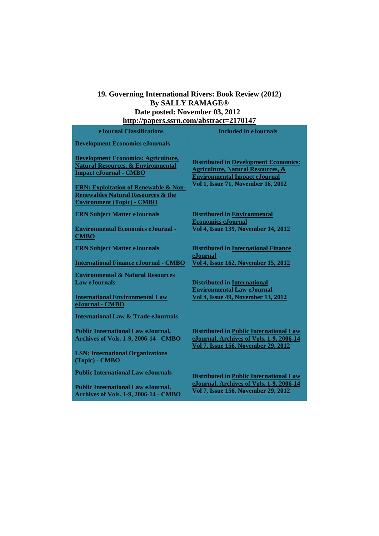### **19. Governing International Rivers: Book Review (2012) By SALLY RAMAGE® Date posted: November 03, 2012 <http://papers.ssrn.com/abstract=2170147>**

| e. Journal Classifications                                                                                                             | <b>Included in e. Journals</b>                                                                                                       |
|----------------------------------------------------------------------------------------------------------------------------------------|--------------------------------------------------------------------------------------------------------------------------------------|
| <b>Development Economics eJournals</b>                                                                                                 |                                                                                                                                      |
| <b>Development Economics: Agriculture,</b><br><b>Natural Resources, &amp; Environmental</b><br><b>Impact eJournal - CMBO</b>           | <b>Distributed in Development Economics:</b><br><b>Agriculture, Natural Resources, &amp;</b><br><b>Environmental Impact eJournal</b> |
| <b>ERN: Exploitation of Renewable &amp; Non-</b><br><b>Renewables Natural Resources &amp; the</b><br><b>Environment (Topic) - CMBO</b> | <b>Vol 1, Issue 71, November 16, 2012</b>                                                                                            |
| <b>ERN Subject Matter eJournals</b>                                                                                                    | <b>Distributed in Environmental</b><br><b>Economics eJournal</b>                                                                     |
| <b>Environmental Economics eJournal -</b><br><b>CMBO</b>                                                                               | Vol 4, Issue 139, November 14, 2012                                                                                                  |
| <b>ERN Subject Matter eJournals</b>                                                                                                    | <b>Distributed in International Finance</b>                                                                                          |
| <b>International Finance eJournal - CMBO</b>                                                                                           | eJournal<br>Vol 4, Issue 162, November 15, 2012                                                                                      |
| <b>Environmental &amp; Natural Resources</b><br><b>Law eJournals</b>                                                                   | <b>Distributed in International</b><br><b>Environmental Law eJournal</b>                                                             |
| <b>International Environmental Law</b><br>eJournal - CMBO                                                                              | <b>Vol 4, Issue 49, November 13, 2012</b>                                                                                            |
| <b>International Law &amp; Trade eJournals</b>                                                                                         |                                                                                                                                      |
| <b>Public International Law eJournal,</b><br><b>Archives of Vols. 1-9, 2006-14 - CMBO</b>                                              | <b>Distributed in Public International Law</b><br>eJournal, Archives of Vols. 1-9, 2006-14<br>Vol 7, Issue 156, November 29, 2012    |
| <b>LSN: International Organizations</b><br>(Topic) - CMBO                                                                              |                                                                                                                                      |
| <b>Public International Law eJournals</b>                                                                                              | <b>Distributed in Public International Law</b>                                                                                       |
| <b>Public International Law eJournal,</b><br>Archives of Vols. 1-9, 2006-14 - CMBO                                                     | eJournal, Archives of Vols. 1-9, 2006-14<br>Vol 7, Issue 156, November 29, 2012                                                      |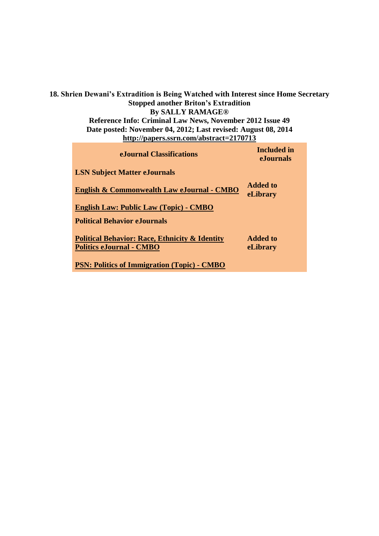**18. Shrien Dewani's Extradition is Being Watched with Interest since Home Secretary Stopped another Briton's Extradition By SALLY RAMAGE® Reference Info: Criminal Law News, November 2012 Issue 49 Date posted: November 04, 2012; Last revised: August 08, 2014 <http://papers.ssrn.com/abstract=2170713>**

| e.Journal Classifications                                                                    | <b>Included</b> in<br><b>e</b> Journals |
|----------------------------------------------------------------------------------------------|-----------------------------------------|
| <b>LSN Subject Matter eJournals</b>                                                          |                                         |
| English & Commonwealth Law eJournal - CMBO                                                   | Added to<br>eLibrary                    |
| <b>English Law: Public Law (Topic) - CMBO</b>                                                |                                         |
| <b>Political Behavior eJournals</b>                                                          |                                         |
| <b>Political Behavior: Race, Ethnicity &amp; Identity</b><br><b>Politics eJournal - CMBO</b> | <b>Added to</b><br>eLibrary             |
| <b>PSN: Politics of Immigration (Topic) - CMBO</b>                                           |                                         |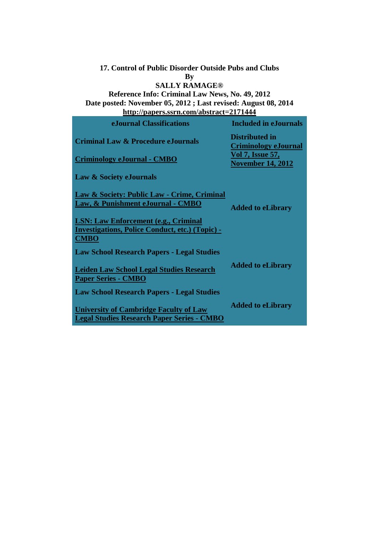#### **17. Control of Public Disorder Outside Pubs and Clubs By SALLY RAMAGE®**

## **Reference Info: Criminal Law News, No. 49, 2012 Date posted: November 05, 2012 ; Last revised: August 08, 2014 <http://papers.ssrn.com/abstract=2171444>**

| eJournal Classifications                                                                                             | <b>Included in eJournals</b>                         |
|----------------------------------------------------------------------------------------------------------------------|------------------------------------------------------|
| <b>Criminal Law &amp; Procedure eJournals</b>                                                                        | <b>Distributed in</b><br><b>Criminology eJournal</b> |
| <b>Criminology eJournal - CMBO</b>                                                                                   | <u>Vol 7, Issue 57,</u><br><b>November 14, 2012</b>  |
| Law & Society eJournals                                                                                              |                                                      |
| <b>Law &amp; Society: Public Law - Crime, Criminal</b><br>Law, & Punishment eJournal - CMBO                          | <b>Added to eLibrary</b>                             |
| <b>LSN: Law Enforcement (e.g., Criminal</b><br><b>Investigations, Police Conduct, etc.) (Topic) -</b><br><b>CMBO</b> |                                                      |
| <b>Law School Research Papers - Legal Studies</b>                                                                    |                                                      |
| <b>Leiden Law School Legal Studies Research</b><br><b>Paper Series - CMBO</b>                                        | <b>Added to eLibrary</b>                             |
| <b>Law School Research Papers - Legal Studies</b>                                                                    |                                                      |
| <b>University of Cambridge Faculty of Law</b><br><b>Legal Studies Research Paper Series - CMBO</b>                   | <b>Added to eLibrary</b>                             |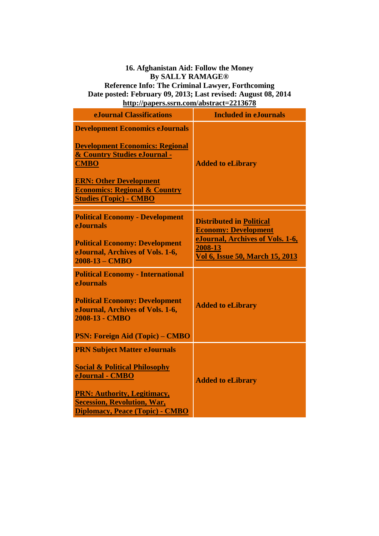### **16. Afghanistan Aid: Follow the Money By SALLY RAMAGE® Reference Info: The Criminal Lawyer, Forthcoming Date posted: February 09, 2013; Last revised: August 08, 2014**

**<http://papers.ssrn.com/abstract=2213678>**

| <b>eJournal Classifications</b>                                                                                                                                                                                                               | <b>Included in eJournals</b>                                                                                                                            |
|-----------------------------------------------------------------------------------------------------------------------------------------------------------------------------------------------------------------------------------------------|---------------------------------------------------------------------------------------------------------------------------------------------------------|
| <b>Development Economics eJournals</b><br><b>Development Economics: Regional</b><br>& Country Studies eJournal -<br><b>CMBO</b><br><b>ERN: Other Development</b><br><b>Economics: Regional &amp; Country</b><br><b>Studies (Topic) - CMBO</b> | <b>Added to eLibrary</b>                                                                                                                                |
| <b>Political Economy - Development</b><br><b>e.Iournals</b><br><b>Political Economy: Development</b><br>eJournal, Archives of Vols. 1-6,<br>2008-13 - CMBO                                                                                    | <b>Distributed in Political</b><br><b>Economy: Development</b><br>eJournal, Archives of Vols. 1-6,<br>2008-13<br><b>Vol 6, Issue 50, March 15, 2013</b> |
| <b>Political Economy - International</b><br><b>eJournals</b><br><b>Political Economy: Development</b><br>eJournal, Archives of Vols. 1-6,<br>2008-13 - CMBO<br><b>PSN: Foreign Aid (Topic) – CMBO</b>                                         | <b>Added to eLibrary</b>                                                                                                                                |
| <b>PRN Subject Matter eJournals</b><br><b>Social &amp; Political Philosophy</b><br>eJournal - CMBO<br><b>PRN: Authority, Legitimacy,</b><br><b>Secession, Revolution, War,</b><br>Diplomacy, Peace (Topic) - CMBO                             | <b>Added to eLibrary</b>                                                                                                                                |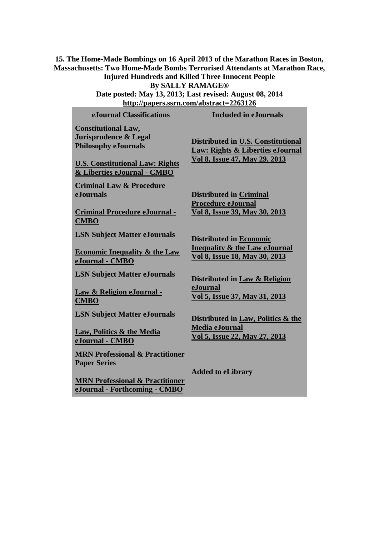**15. The Home-Made Bombings on 16 April 2013 of the Marathon Races in Boston, Massachusetts: Two Home-Made Bombs Terrorised Attendants at Marathon Race, Injured Hundreds and Killed Three Innocent People**

**By SALLY RAMAGE®**

**Date posted: May 13, 2013; Last revised: August 08, 2014 <http://papers.ssrn.com/abstract=2263126>**

| eJournal Classifications                                                                                                                                    | <b>Included in eJournals</b>                                                                                |
|-------------------------------------------------------------------------------------------------------------------------------------------------------------|-------------------------------------------------------------------------------------------------------------|
| <b>Constitutional Law,</b><br>Jurisprudence & Legal<br><b>Philosophy eJournals</b><br><b>U.S. Constitutional Law: Rights</b><br>& Liberties eJournal - CMBO | Distributed in U.S. Constitutional<br>Law: Rights & Liberties eJournal<br>Vol 8, Issue 47, May 29, 2013     |
| <b>Criminal Law &amp; Procedure</b><br><b>e</b> Journals<br><b>Criminal Procedure eJournal -</b><br><b>CMBO</b>                                             | <b>Distributed in Criminal</b><br><b>Procedure eJournal</b><br>Vol 8, Issue 39, May 30, 2013                |
| <b>LSN Subject Matter eJournals</b><br><b>Economic Inequality &amp; the Law</b><br>eJournal - CMBO                                                          | <b>Distributed in Economic</b><br><b>Inequality &amp; the Law eJournal</b><br>Vol 8, Issue 18, May 30, 2013 |
| <b>LSN Subject Matter eJournals</b><br>Law & Religion eJournal -<br><b>CMBO</b>                                                                             | Distributed in Law & Religion<br>eJournal<br>Vol 5, Issue 37, May 31, 2013                                  |
| <b>LSN Subject Matter eJournals</b><br><b>Law, Politics &amp; the Media</b><br>eJournal - CMBO                                                              | Distributed in Law, Politics & the<br><b>Media eJournal</b><br>Vol 5, Issue 22, May 27, 2013                |
| <b>MRN Professional &amp; Practitioner</b><br><b>Paper Series</b><br><b>MRN Professional &amp; Practitioner</b><br>eJournal - Forthcoming - CMBO            | <b>Added to eLibrary</b>                                                                                    |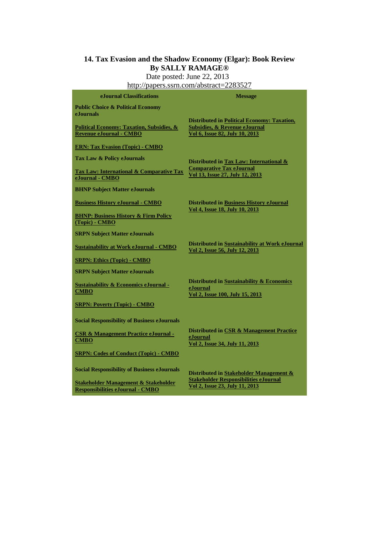## **14. Tax Evasion and the Shadow Economy (Elgar): Book Review By SALLY RAMAGE®**

Date posted: June 22, 2013

| http://papers.ssrn.com/abstract=2283527                                                |                                                                                                                                  |  |
|----------------------------------------------------------------------------------------|----------------------------------------------------------------------------------------------------------------------------------|--|
| eJournal Classifications                                                               | <b>Message</b>                                                                                                                   |  |
| <b>Public Choice &amp; Political Economy</b><br>eJournals                              |                                                                                                                                  |  |
| <b>Political Economy: Taxation, Subsidies, &amp;</b><br><b>Revenue eJournal - CMBO</b> | <b>Distributed in Political Economy: Taxation,</b><br><b>Subsidies, &amp; Revenue eJournal</b><br>Vol 6, Issue 82, July 10, 2013 |  |
| <b>ERN: Tax Evasion (Topic) - CMBO</b>                                                 |                                                                                                                                  |  |
| Tax Law & Policy eJournals                                                             | Distributed in Tax Law: International &                                                                                          |  |
| <b>Tax Law: International &amp; Comparative Tax</b><br>eJournal - CMBO                 | <b>Comparative Tax eJournal</b><br>Vol 13, Issue 27, July 12, 2013                                                               |  |
| <b>BHNP Subject Matter eJournals</b>                                                   |                                                                                                                                  |  |
| <b>Business History eJournal - CMBO</b>                                                | <b>Distributed in Business History eJournal</b>                                                                                  |  |
| <b>BHNP: Business History &amp; Firm Policy</b><br>(Topic) - CMBO                      | Vol 4, Issue 18, July 10, 2013                                                                                                   |  |
| <b>SRPN Subject Matter eJournals</b>                                                   |                                                                                                                                  |  |
| <b>Sustainability at Work eJournal - CMBO</b>                                          | Distributed in Sustainability at Work eJournal<br>Vol 2, Issue 56, July 12, 2013                                                 |  |
| <b>SRPN: Ethics (Topic) - CMBO</b>                                                     |                                                                                                                                  |  |
| <b>SRPN Subject Matter eJournals</b>                                                   |                                                                                                                                  |  |
| <b>Sustainability &amp; Economics eJournal -</b><br><b>CMBO</b>                        | Distributed in Sustainability & Economics<br>eJournal<br>Vol 2, Issue 100, July 15, 2013                                         |  |
| <b>SRPN: Poverty (Topic) - CMBO</b>                                                    |                                                                                                                                  |  |
| <b>Social Responsibility of Business eJournals</b>                                     |                                                                                                                                  |  |
| <b>CSR &amp; Management Practice eJournal -</b><br><b>CMBO</b>                         | Distributed in CSR & Management Practice<br>eJournal<br>Vol 2, Issue 34, July 11, 2013                                           |  |
| <b>SRPN: Codes of Conduct (Topic) - CMBO</b>                                           |                                                                                                                                  |  |
| <b>Social Responsibility of Business eJournals</b>                                     | Distributed in Stakeholder Management &                                                                                          |  |
| Stakeholder Management & Stakeholder<br><b>Responsibilities eJournal - CMBO</b>        | <b>Stakeholder Responsibilities eJournal</b><br>Vol 2, Issue 23, July 11, 2013                                                   |  |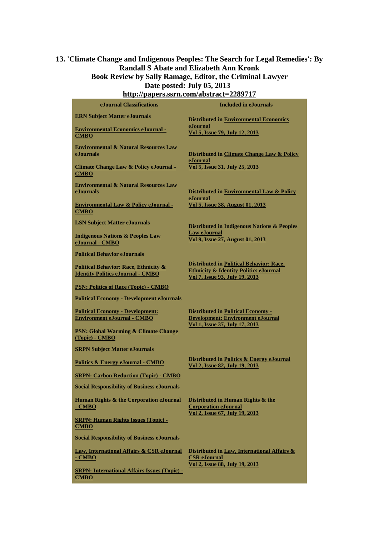### **13. 'Climate Change and Indigenous Peoples: The Search for Legal Remedies': By Randall S Abate and Elizabeth Ann Kronk Book Review by Sally Ramage, Editor, the Criminal Lawyer Date posted: July 05, 2013**

| http://papers.ssrn.com/abstract=2289717                                                      |                                                                                                                                        |  |
|----------------------------------------------------------------------------------------------|----------------------------------------------------------------------------------------------------------------------------------------|--|
| eJournal Classifications                                                                     | <b>Included in eJournals</b>                                                                                                           |  |
| <b>ERN Subject Matter eJournals</b>                                                          | <b>Distributed in Environmental Economics</b>                                                                                          |  |
| <b>Environmental Economics eJournal -</b><br><b>CMBO</b>                                     | eJournal<br>Vol 5, Issue 79, July 12, 2013                                                                                             |  |
| <b>Environmental &amp; Natural Resources Law</b><br>eJournals                                | Distributed in Climate Change Law & Policy                                                                                             |  |
| <b>Climate Change Law &amp; Policy eJournal -</b><br><b>CMBO</b>                             | eJournal<br>Vol 5, Issue 31, July 25, 2013                                                                                             |  |
| <b>Environmental &amp; Natural Resources Law</b><br>eJournals                                | Distributed in Environmental Law & Policy                                                                                              |  |
| <b>Environmental Law &amp; Policy eJournal -</b><br>CMBO                                     | eJournal<br>Vol 5, Issue 38, August 01, 2013                                                                                           |  |
| <b>LSN Subject Matter eJournals</b>                                                          | Distributed in Indigenous Nations & Peoples                                                                                            |  |
| <b>Indigenous Nations &amp; Peoples Law</b><br>eJournal - CMBO                               | <b>Law eJournal</b><br>Vol 9, Issue 27, August 01, 2013                                                                                |  |
| <b>Political Behavior eJournals</b>                                                          |                                                                                                                                        |  |
| <b>Political Behavior: Race, Ethnicity &amp;</b><br><b>Identity Politics eJournal - CMBO</b> | <b>Distributed in Political Behavior: Race,</b><br><b>Ethnicity &amp; Identity Politics eJournal</b><br>Vol 7, Issue 93, July 19, 2013 |  |
| <b>PSN: Politics of Race (Topic) - CMBO</b>                                                  |                                                                                                                                        |  |
| <b>Political Economy - Development eJournals</b>                                             |                                                                                                                                        |  |
| <b>Political Economy - Development:</b><br><b>Environment eJournal - CMBO</b>                | <b>Distributed in Political Economy -</b><br>Development: Environment eJournal                                                         |  |
| <b>PSN: Global Warming &amp; Climate Change</b><br>(Topic) - CMBO                            | Vol 1, Issue 37, July 17, 2013                                                                                                         |  |
| <b>SRPN Subject Matter eJournals</b>                                                         |                                                                                                                                        |  |
| <b>Politics &amp; Energy eJournal - CMBO</b>                                                 | Distributed in Politics & Energy eJournal<br>Vol 2, Issue 82, July 19, 2013                                                            |  |
| <b>SRPN: Carbon Reduction (Topic) - CMBO</b>                                                 |                                                                                                                                        |  |
| <b>Social Responsibility of Business eJournals</b>                                           |                                                                                                                                        |  |
| Human Rights & the Corporation eJournal<br><u>- CMBO</u>                                     | Distributed in Human Rights & the<br><b>Corporation eJournal</b>                                                                       |  |
| <b>SRPN: Human Rights Issues (Topic) -</b><br><b>CMBO</b>                                    | Vol 2, Issue 67, July 19, 2013                                                                                                         |  |
| <b>Social Responsibility of Business eJournals</b>                                           |                                                                                                                                        |  |
| Law, International Affairs & CSR eJournal<br>- CMBO                                          | Distributed in Law, International Affairs &<br><b>CSR</b> eJournal<br>Vol 2, Issue 88, July 19, 2013                                   |  |
| <b>SRPN: International Affairs Issues (Topic) -</b><br><b>CMBO</b>                           |                                                                                                                                        |  |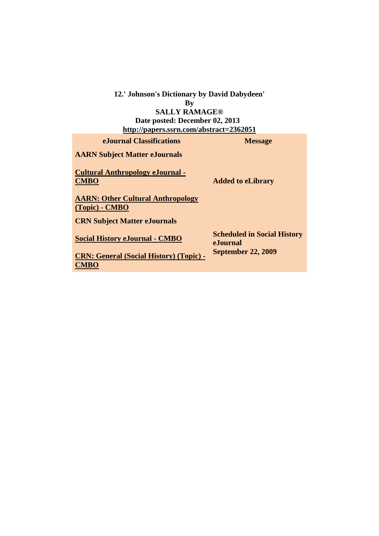#### **12.' Johnson's Dictionary by David Dabydeen' By SALLY RAMAGE®**

**Date posted: December 02, 2013 <http://papers.ssrn.com/abstract=2362051>**

| eJournal Classifications                                     | <b>Message</b>                                 |
|--------------------------------------------------------------|------------------------------------------------|
| <b>AARN Subject Matter eJournals</b>                         |                                                |
| <b>Cultural Anthropology eJournal -</b><br><b>CMBO</b>       | <b>Added to eLibrary</b>                       |
| <b>AARN: Other Cultural Anthropology</b><br>$(Topic)$ - CMBO |                                                |
| <b>CRN Subject Matter eJournals</b>                          |                                                |
| <b>Social History eJournal - CMBO</b>                        | <b>Scheduled in Social History</b><br>eJournal |
| <b>CRN: General (Social History) (Topic) -</b>               | <b>September 22, 2009</b>                      |
| <b>CMBO</b>                                                  |                                                |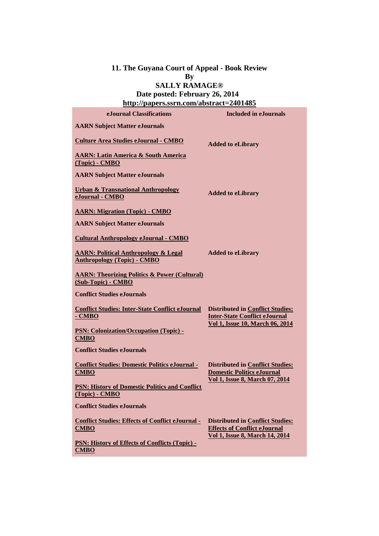#### **11. The Guyana Court of Appeal - Book Review By SALLY RAMAGE®**

## **Date posted: February 26, 2014 <http://papers.ssrn.com/abstract=2401485>**

| e. Journal Classifications                                                            | <b>Included in eJournals</b>                                                                                            |
|---------------------------------------------------------------------------------------|-------------------------------------------------------------------------------------------------------------------------|
| <b>AARN Subject Matter eJournals</b>                                                  |                                                                                                                         |
| <b>Culture Area Studies eJournal - CMBO</b>                                           | <b>Added to eLibrary</b>                                                                                                |
| <b>AARN: Latin America &amp; South America</b><br>(Topic) - CMBO                      |                                                                                                                         |
| <b>AARN Subject Matter eJournals</b>                                                  |                                                                                                                         |
| <b>Urban &amp; Transnational Anthropology</b><br>eJournal - CMBO                      | <b>Added to eLibrary</b>                                                                                                |
| <b>AARN: Migration (Topic) - CMBO</b>                                                 |                                                                                                                         |
| <b>AARN Subject Matter eJournals</b>                                                  |                                                                                                                         |
| <b>Cultural Anthropology eJournal - CMBO</b>                                          |                                                                                                                         |
| <b>AARN: Political Anthropology &amp; Legal</b><br><b>Anthropology (Topic) - CMBO</b> | <b>Added to eLibrary</b>                                                                                                |
| <b>AARN: Theorizing Politics &amp; Power (Cultural)</b><br>(Sub-Topic) - CMBO         |                                                                                                                         |
| <b>Conflict Studies eJournals</b>                                                     |                                                                                                                         |
| <b>Conflict Studies: Inter-State Conflict eJournal</b><br>- CMBO                      | <b>Distributed in Conflict Studies:</b><br><b>Inter-State Conflict eJournal</b><br>Vol 1, Issue 10, March 06, 2014      |
| <b>PSN: Colonization/Occupation (Topic) -</b><br><b>CMBO</b>                          |                                                                                                                         |
| <b>Conflict Studies eJournals</b>                                                     |                                                                                                                         |
| <b>Conflict Studies: Domestic Politics eJournal -</b><br>CMBO                         | <b>Distributed in Conflict Studies:</b><br><b>Domestic Politics eJournal</b>                                            |
| <b>PSN: History of Domestic Politics and Conflict</b><br>(Topic) - CMBO               | <b>Vol 1, Issue 8, March 07, 2014</b>                                                                                   |
| <b>Conflict Studies eJournals</b>                                                     |                                                                                                                         |
| <b>Conflict Studies: Effects of Conflict eJournal -</b><br><b>CMBO</b>                | <b>Distributed in Conflict Studies:</b><br><b>Effects of Conflict eJournal</b><br><b>Vol 1, Issue 8, March 14, 2014</b> |
| PSN: History of Effects of Conflicts (Topic) -<br><b>CMBO</b>                         |                                                                                                                         |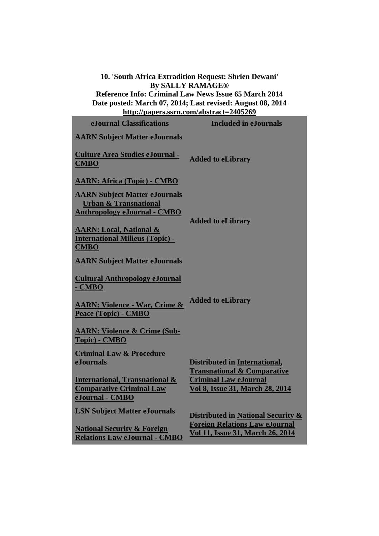**10. 'South Africa Extradition Request: Shrien Dewani' By SALLY RAMAGE®**

**Reference Info: Criminal Law News Issue 65 March 2014 Date posted: March 07, 2014; Last revised: August 08, 2014 <http://papers.ssrn.com/abstract=2405269>**

| eJournal Classifications                                                                                        | <b>Included in eJournals</b>                                                                                                                             |
|-----------------------------------------------------------------------------------------------------------------|----------------------------------------------------------------------------------------------------------------------------------------------------------|
| <b>AARN Subject Matter eJournals</b>                                                                            |                                                                                                                                                          |
| <b>Culture Area Studies eJournal -</b><br><b>CMBO</b>                                                           | <b>Added to eLibrary</b>                                                                                                                                 |
| <b>AARN: Africa (Topic) - CMBO</b>                                                                              |                                                                                                                                                          |
| <b>AARN Subject Matter eJournals</b><br><b>Urban &amp; Transnational</b><br><b>Anthropology eJournal - CMBO</b> | <b>Added to eLibrary</b>                                                                                                                                 |
| <b>AARN: Local, National &amp;</b><br><b>International Milieus (Topic) -</b><br><b>CMBO</b>                     |                                                                                                                                                          |
| <b>AARN Subject Matter eJournals</b>                                                                            |                                                                                                                                                          |
| <b>Cultural Anthropology eJournal</b><br>- CMBO                                                                 |                                                                                                                                                          |
| <b>AARN: Violence - War, Crime &amp;</b><br>Peace (Topic) - CMBO                                                | <b>Added to eLibrary</b>                                                                                                                                 |
| <b>AARN: Violence &amp; Crime (Sub-</b><br>Topic) - CMBO                                                        |                                                                                                                                                          |
| <b>Criminal Law &amp; Procedure</b><br><b>e.Iournals</b>                                                        | <b>Distributed in International,</b><br><b>Transnational &amp; Comparative</b><br><b>Criminal Law eJournal</b><br><b>Vol 8, Issue 31, March 28, 2014</b> |
| <b>International, Transnational &amp;</b><br><b>Comparative Criminal Law</b><br>eJournal - CMBO                 |                                                                                                                                                          |
| <b>LSN Subject Matter eJournals</b>                                                                             | Distributed in National Security &                                                                                                                       |
| <b>National Security &amp; Foreign</b><br><b>Relations Law eJournal - CMBO</b>                                  | <b>Foreign Relations Law eJournal</b><br><b>Vol 11, Issue 31, March 26, 2014</b>                                                                         |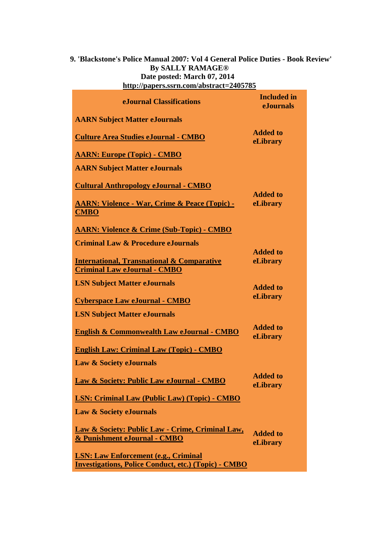### **9. 'Blackstone's Police Manual 2007: Vol 4 General Police Duties - Book Review' By SALLY RAMAGE® Date posted: March 07, 2014 <http://papers.ssrn.com/abstract=2405785>**

| e.Iournal Classifications                                                                                  | <b>Included</b> in<br><b>eJournals</b> |
|------------------------------------------------------------------------------------------------------------|----------------------------------------|
| <b>AARN Subject Matter eJournals</b>                                                                       |                                        |
| <b>Culture Area Studies eJournal - CMBO</b>                                                                | <b>Added to</b><br>eLibrary            |
| <b>AARN: Europe (Topic) - CMBO</b>                                                                         |                                        |
| <b>AARN Subject Matter eJournals</b>                                                                       |                                        |
| <b>Cultural Anthropology eJournal - CMBO</b>                                                               | <b>Added to</b>                        |
| <u> AARN: Violence - War, Crime &amp; Peace (Topic) -</u><br><b>CMBO</b>                                   | eLibrary                               |
| <b>AARN: Violence &amp; Crime (Sub-Topic) - CMBO</b>                                                       |                                        |
| <b>Criminal Law &amp; Procedure eJournals</b>                                                              |                                        |
| <b>International, Transnational &amp; Comparative</b><br><b>Criminal Law eJournal - CMBO</b>               | <b>Added to</b><br>eLibrary            |
| <b>LSN Subject Matter eJournals</b>                                                                        | <b>Added to</b>                        |
| <b>Cyberspace Law eJournal - CMBO</b>                                                                      | eLibrary                               |
| <b>LSN Subject Matter eJournals</b>                                                                        |                                        |
| <b>English &amp; Commonwealth Law eJournal - CMBO</b>                                                      | <b>Added to</b><br>eLibrary            |
| <b>English Law: Criminal Law (Topic) - CMBO</b>                                                            |                                        |
| <b>Law &amp; Society eJournals</b>                                                                         |                                        |
| Law & Society: Public Law eJournal - CMBO                                                                  | <b>Added to</b><br>eLibrary            |
| <b>LSN: Criminal Law (Public Law) (Topic) - CMBO</b>                                                       |                                        |
| <b>Law &amp; Society eJournals</b>                                                                         |                                        |
| Law & Society: Public Law - Crime, Criminal Law,<br>& Punishment eJournal - CMBO                           | <b>Added to</b><br>eLibrary            |
| <b>LSN: Law Enforcement (e.g., Criminal</b><br><b>Investigations, Police Conduct, etc.) (Topic) - CMBO</b> |                                        |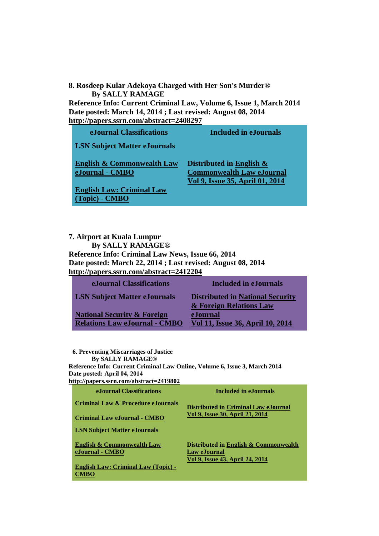**8. Rosdeep Kular Adekoya Charged with Her Son's Murder® By SALLY RAMAGE**

**Reference Info: Current Criminal Law, Volume 6, Issue 1, March 2014 Date posted: March 14, 2014 ; Last revised: August 08, 2014 <http://papers.ssrn.com/abstract=2408297>**

| eJournal Classifications                                 | <b>Included in eJournals</b>                                                                       |
|----------------------------------------------------------|----------------------------------------------------------------------------------------------------|
| <b>LSN Subject Matter eJournals</b>                      |                                                                                                    |
| <b>English &amp; Commonwealth Law</b><br>eJournal - CMBO | Distributed in English $\&$<br><b>Commonwealth Law eJournal</b><br>Vol 9, Issue 35, April 01, 2014 |
| <b>English Law: Criminal Law</b>                         |                                                                                                    |

 **7. Airport at Kuala Lumpur By SALLY RAMAGE® Reference Info: Criminal Law News, Issue 66, 2014 Date posted: March 22, 2014 ; Last revised: August 08, 2014 <http://papers.ssrn.com/abstract=2412204>**

**[\(Topic\)](http://papers.ssrn.com/sol3/JELJOUR_Results.cfm?form_name=journalBrowse&journal_id=1625625) - [CMBO](http://papers.ssrn.com/sol3/JELJOUR_Results.cfm?form_name=journalBrowse&journal_id=1625625)**

| eJournal Classifications                                                       | Included in eJournals                                              |
|--------------------------------------------------------------------------------|--------------------------------------------------------------------|
| <b>LSN Subject Matter eJournals</b>                                            | <b>Distributed in National Security</b><br>& Foreign Relations Law |
| <b>National Security &amp; Foreign</b><br><b>Relations Law eJournal - CMBO</b> | eJournal<br>Vol 11, Issue 36, April 10, 2014                       |

 **6. Preventing Miscarriages of Justice By SALLY RAMAGE® Reference Info: Current Criminal Law Online, Volume 6, Issue 3, March 2014 Date posted: April 04, 2014 <http://papers.ssrn.com/abstract=2419802> eJournal Classifications Included in eJournals Criminal Law & Procedure eJournals [Criminal Law eJournal](http://papers.ssrn.com/sol3/JELJOUR_Results.cfm?form_name=journalBrowse&journal_id=930446) - [CMBO](http://papers.ssrn.com/sol3/JELJOUR_Results.cfm?form_name=journalBrowse&journal_id=930446) Distributed in [Criminal Law eJournal](javascript:void(0);)  [Vol 9, Issue 30, April 21, 2014](javascript:void(0);)  LSN Subject Matter eJournals [English & Commonwealth Law](http://papers.ssrn.com/sol3/JELJOUR_Results.cfm?form_name=journalBrowse&journal_id=231160)  [eJournal](http://papers.ssrn.com/sol3/JELJOUR_Results.cfm?form_name=journalBrowse&journal_id=231160) - [CMBO](http://papers.ssrn.com/sol3/JELJOUR_Results.cfm?form_name=journalBrowse&journal_id=231160) Distributed in [English & Commonwealth](javascript:void(0);)  [Law eJournal](javascript:void(0);)  [Vol 9, Issue 43, April](javascript:void(0);) 24, 2014** 

**[English Law: Criminal Law \(Topic\)](http://papers.ssrn.com/sol3/JELJOUR_Results.cfm?form_name=journalBrowse&journal_id=1625625) [-](http://papers.ssrn.com/sol3/JELJOUR_Results.cfm?form_name=journalBrowse&journal_id=1625625) CMBO**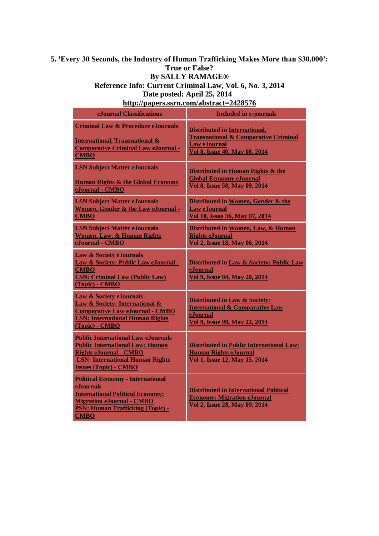### **5. 'Every 30 Seconds, the Industry of Human Trafficking Makes More than \$30,000': True or False? By SALLY RAMAGE® Reference Info: Current Criminal Law, Vol. 6, No. 3, 2014**

**Date posted: April 25, 2014** 

**<http://papers.ssrn.com/abstract=2428576>**

| eJournal Classifications                                                                                                                                                                                   | <b>Included in e-journals</b>                                                                                                                   |
|------------------------------------------------------------------------------------------------------------------------------------------------------------------------------------------------------------|-------------------------------------------------------------------------------------------------------------------------------------------------|
| <b>Criminal Law &amp; Procedure eJournals</b><br><b>International, Transnational &amp;</b><br><b>Comparative Criminal Law eJournal -</b><br><b>CMBO</b>                                                    | <b>Distributed in International,</b><br><b>Transnational &amp; Comparative Criminal</b><br><b>Law eJournal</b><br>Vol 8, Issue 40, May 08, 2014 |
| <b>LSN Subject Matter eJournals</b><br><b>Human Rights &amp; the Global Economy</b><br>eJournal - CMBO                                                                                                     | Distributed in Human Rights & the<br><b>Global Economy eJournal</b><br>Vol 8, Issue 58, May 09, 2014                                            |
| <b>LSN Subject Matter eJournals</b><br>Women, Gender & the Law eJournal -<br><b>CMBO</b>                                                                                                                   | Distributed in Women, Gender & the<br><b>Law eJournal</b><br>Vol 10, Issue 36, May 07, 2014                                                     |
| <b>LSN Subject Matter eJournals</b><br><b>Women, Law, &amp; Human Rights</b><br>eJournal - CMBO                                                                                                            | Distributed in Women, Law, & Human<br><b>Rights eJournal</b><br>Vol 2, Issue 18, May 06, 2014                                                   |
| Law & Society eJournals<br>Law & Society: Public Law eJournal -<br><b>CMBO</b><br><b>LSN: Criminal Law (Public Law)</b><br>(Topic) - CMBO                                                                  | Distributed in Law & Society: Public Law<br>eJournal<br>Vol 9, Issue 94, May 20, 2014                                                           |
| <b>Law &amp; Society eJournals</b><br><b>Law &amp; Society: International &amp;</b><br><b>Comparative Law eJournal - CMBO</b><br><b>LSN: International Human Rights</b><br>(Topic) - CMBO                  | <b>Distributed in Law &amp; Society:</b><br><b>International &amp; Comparative Law</b><br>eJournal<br>Vol 9, Issue 99, May 22, 2014             |
| <b>Public International Law eJournals</b><br><b>Public International Law: Human</b><br><b>Rights eJournal - CMBO</b><br><b>LSN: International Human Rights</b><br><b>Issues (Topic) - CMBO</b>             | <b>Distributed in Public International Law:</b><br><b>Human Rights eJournal</b><br><b>Vol 1, Issue 12, May 15, 2014</b>                         |
| <b>Political Economy - International</b><br>e.Iournals<br><b>International Political Economy:</b><br><b>Migration eJournal - CMBO</b><br><b>PSN: Human Trafficking (Topic) -</b><br>$C\textbf{MP}\,\Omega$ | <b>Distributed in International Political</b><br><b>Economy: Migration eJournal</b><br>Vol 2, Issue 28, May 09, 2014                            |

**CMBO**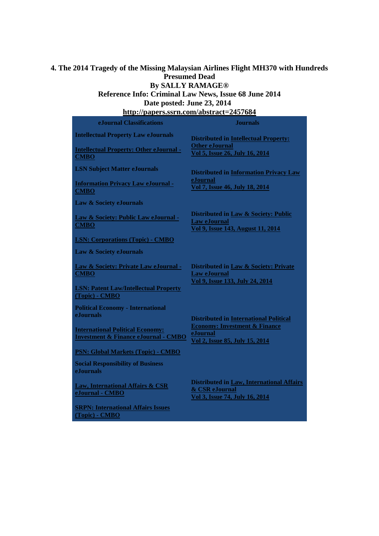#### **4. The 2014 Tragedy of the Missing Malaysian Airlines Flight MH370 with Hundreds Presumed Dead By SALLY RAMAGE®**

## **Reference Info: Criminal Law News, Issue 68 June 2014 Date posted: June 23, 2014**

**<http://papers.ssrn.com/abstract=2457684> eJournal Classifications Journals Intellectual Property Law eJournals [Intellectual Property: Other eJournal](http://papers.ssrn.com/sol3/JELJOUR_Results.cfm?form_name=journalBrowse&journal_id=1649867) [-](http://papers.ssrn.com/sol3/JELJOUR_Results.cfm?form_name=journalBrowse&journal_id=1649867) CMBO Distributed i[n Intellectual Property:](javascript:void(0);)  [Other eJournal](javascript:void(0);)  [Vol 5, Issue 26, July 16, 2014](javascript:void(0);)  LSN Subject Matter eJournals [Information Privacy Law eJournal](http://papers.ssrn.com/sol3/JELJOUR_Results.cfm?form_name=journalBrowse&journal_id=1125502) [-](http://papers.ssrn.com/sol3/JELJOUR_Results.cfm?form_name=journalBrowse&journal_id=1125502) CMBO Distributed i[n Information Privacy Law](javascript:void(0);)  [eJournal](javascript:void(0);)  [Vol 7, Issue 46, July 18, 2014](javascript:void(0);)  Law & Society eJournals [Law & Society: Public Law eJournal](http://papers.ssrn.com/sol3/JELJOUR_Results.cfm?form_name=journalBrowse&journal_id=912327) [-](http://papers.ssrn.com/sol3/JELJOUR_Results.cfm?form_name=journalBrowse&journal_id=912327) CMBO [LSN: Corporations \(Topic\)](http://papers.ssrn.com/sol3/JELJOUR_Results.cfm?form_name=journalBrowse&journal_id=912355) - [CMBO](http://papers.ssrn.com/sol3/JELJOUR_Results.cfm?form_name=journalBrowse&journal_id=912355) Distributed i[n Law & Society: Public](javascript:void(0);)  [Law eJournal](javascript:void(0);)  [Vol 9, Issue 143, August 11, 2014](javascript:void(0);)  Law & Society eJournals [Law & Society: Private Law eJournal](http://papers.ssrn.com/sol3/JELJOUR_Results.cfm?form_name=journalBrowse&journal_id=912326) [-](http://papers.ssrn.com/sol3/JELJOUR_Results.cfm?form_name=journalBrowse&journal_id=912326) CMBO [LSN: Patent Law/Intellectual Property](http://papers.ssrn.com/sol3/JELJOUR_Results.cfm?form_name=journalBrowse&journal_id=912346)  [\(Topic\)](http://papers.ssrn.com/sol3/JELJOUR_Results.cfm?form_name=journalBrowse&journal_id=912346) - [CMBO](http://papers.ssrn.com/sol3/JELJOUR_Results.cfm?form_name=journalBrowse&journal_id=912346) Distributed i[n Law & Society: Private](javascript:void(0);)  [Law eJournal](javascript:void(0);)  [Vol 9, Issue 133, July 24, 2014](javascript:void(0);)  Political Economy - International eJournals [International Political Economy:](http://papers.ssrn.com/sol3/JELJOUR_Results.cfm?form_name=journalBrowse&journal_id=2250021)  [Investment & Finance eJournal](http://papers.ssrn.com/sol3/JELJOUR_Results.cfm?form_name=journalBrowse&journal_id=2250021) - [CMBO](http://papers.ssrn.com/sol3/JELJOUR_Results.cfm?form_name=journalBrowse&journal_id=2250021) PSN: [Global Markets \(Topic\)](http://papers.ssrn.com/sol3/JELJOUR_Results.cfm?form_name=journalBrowse&journal_id=2250063) - [CMBO](http://papers.ssrn.com/sol3/JELJOUR_Results.cfm?form_name=journalBrowse&journal_id=2250063) Distributed i[n International Political](javascript:void(0);)  [Economy: Investment & Finance](javascript:void(0);)  [eJournal](javascript:void(0);)  [Vol 2, Issue 85, July 15, 2014](javascript:void(0);)  Social Responsibility of Business eJournals [Law, International Affairs & CSR](http://papers.ssrn.com/sol3/JELJOUR_Results.cfm?form_name=journalBrowse&journal_id=2001670)  [eJournal](http://papers.ssrn.com/sol3/JELJOUR_Results.cfm?form_name=journalBrowse&journal_id=2001670) - [CMBO](http://papers.ssrn.com/sol3/JELJOUR_Results.cfm?form_name=journalBrowse&journal_id=2001670) Distributed i[n Law, International Affairs](javascript:void(0);)  [& CSR eJournal](javascript:void(0);)  [Vol 3, Issue 74, July 16, 2014](javascript:void(0);)** 

**[SRPN: International Affairs Issues](http://papers.ssrn.com/sol3/JELJOUR_Results.cfm?form_name=journalBrowse&journal_id=2001672)  [\(Topic\)](http://papers.ssrn.com/sol3/JELJOUR_Results.cfm?form_name=journalBrowse&journal_id=2001672) - [CMBO](http://papers.ssrn.com/sol3/JELJOUR_Results.cfm?form_name=journalBrowse&journal_id=2001672)**